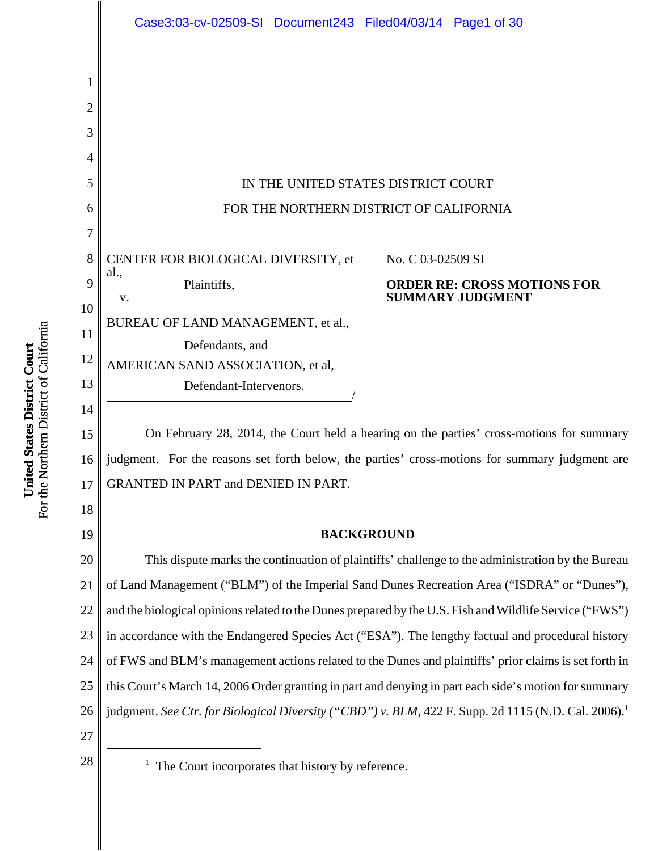

17 GRANTED IN PART and DENIED IN PART.

# **BACKGROUND**

20 21 22 23 24 25 26 This dispute marks the continuation of plaintiffs' challenge to the administration by the Bureau of Land Management ("BLM") of the Imperial Sand Dunes Recreation Area ("ISDRA" or "Dunes"), and the biological opinions related to the Dunes prepared by the U.S. Fish and Wildlife Service ("FWS") in accordance with the Endangered Species Act ("ESA"). The lengthy factual and procedural history of FWS and BLM's management actions related to the Dunes and plaintiffs' prior claims is set forth in this Court's March 14, 2006 Order granting in part and denying in part each side's motion for summary judgment. *See Ctr. for Biological Diversity ("CBD") v. BLM*, 422 F. Supp. 2d 1115 (N.D. Cal. 2006).<sup>1</sup>

27

28 <sup>1</sup>

18

19

 $<sup>1</sup>$  The Court incorporates that history by reference.</sup>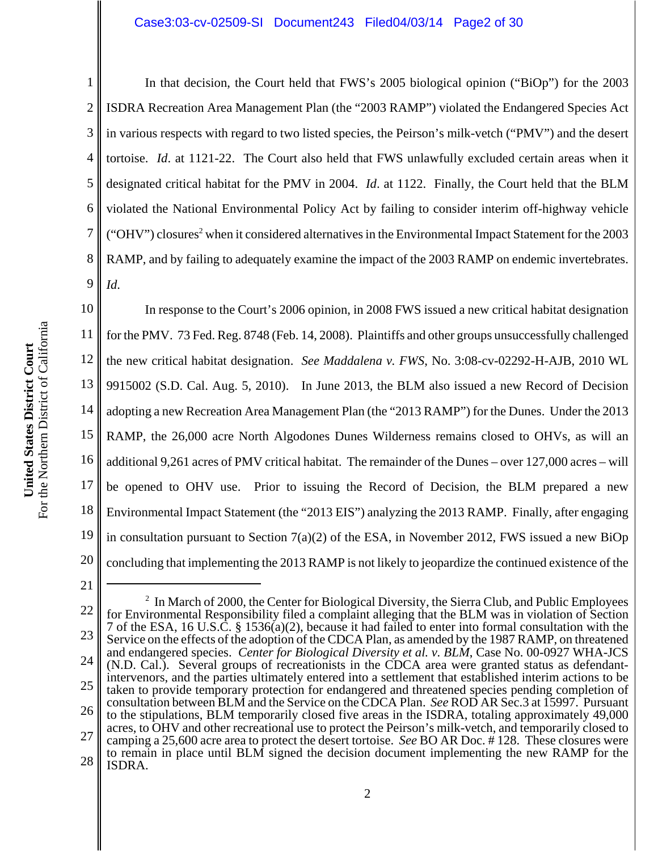### Case3:03-cv-02509-SI Document243 Filed04/03/14 Page2 of 30

1 2 3 4 5 6 7 8 9 In that decision, the Court held that FWS's 2005 biological opinion ("BiOp") for the 2003 ISDRA Recreation Area Management Plan (the "2003 RAMP") violated the Endangered Species Act in various respects with regard to two listed species, the Peirson's milk-vetch ("PMV") and the desert tortoise. *Id*. at 1121-22. The Court also held that FWS unlawfully excluded certain areas when it designated critical habitat for the PMV in 2004. *Id*. at 1122. Finally, the Court held that the BLM violated the National Environmental Policy Act by failing to consider interim off-highway vehicle ("OHV") closures<sup>2</sup> when it considered alternatives in the Environmental Impact Statement for the 2003 RAMP, and by failing to adequately examine the impact of the 2003 RAMP on endemic invertebrates. *Id*.

10 11 12 13 14 15 16 17 18 19 20 In response to the Court's 2006 opinion, in 2008 FWS issued a new critical habitat designation for the PMV. 73 Fed. Reg. 8748 (Feb. 14, 2008). Plaintiffs and other groups unsuccessfully challenged the new critical habitat designation. *See Maddalena v. FWS*, No. 3:08-cv-02292-H-AJB, 2010 WL 9915002 (S.D. Cal. Aug. 5, 2010). In June 2013, the BLM also issued a new Record of Decision adopting a new Recreation Area Management Plan (the "2013 RAMP") for the Dunes. Under the 2013 RAMP, the 26,000 acre North Algodones Dunes Wilderness remains closed to OHVs, as will an additional 9,261 acres of PMV critical habitat. The remainder of the Dunes – over 127,000 acres – will be opened to OHV use. Prior to issuing the Record of Decision, the BLM prepared a new Environmental Impact Statement (the "2013 EIS") analyzing the 2013 RAMP. Finally, after engaging in consultation pursuant to Section 7(a)(2) of the ESA, in November 2012, FWS issued a new BiOp concluding that implementing the 2013 RAMP is not likely to jeopardize the continued existence of the

22

21

23 24 25 26 27 28 <sup>2</sup> In March of 2000, the Center for Biological Diversity, the Sierra Club, and Public Employees for Environmental Responsibility filed a complaint alleging that the BLM was in violation of Section 7 of the ESA, 16 U.S.C. § 1536(a)(2), because it had failed to enter into formal consultation with the Service on the effects of the adoption of the CDCA Plan, as amended by the 1987 RAMP, on threatened and endangered species. *Center for Biological Diversity et al. v. BLM*, Case No. 00-0927 WHA-JCS (N.D. Cal.). Several groups of recreationists in the CDCA area were granted status as defendantintervenors, and the parties ultimately entered into a settlement that established interim actions to be taken to provide temporary protection for endangered and threatened species pending completion of consultation between BLM and the Service on the CDCA Plan. *See* ROD AR Sec.3 at 15997. Pursuant to the stipulations, BLM temporarily closed five areas in the ISDRA, totaling approximately 49,000 acres, to OHV and other recreational use to protect the Peirson's milk-vetch, and temporarily closed to camping a 25,600 acre area to protect the desert tortoise. *See* BO AR Doc. # 128. These closures were to remain in place until BLM signed the decision document implementing the new RAMP for the ISDRA.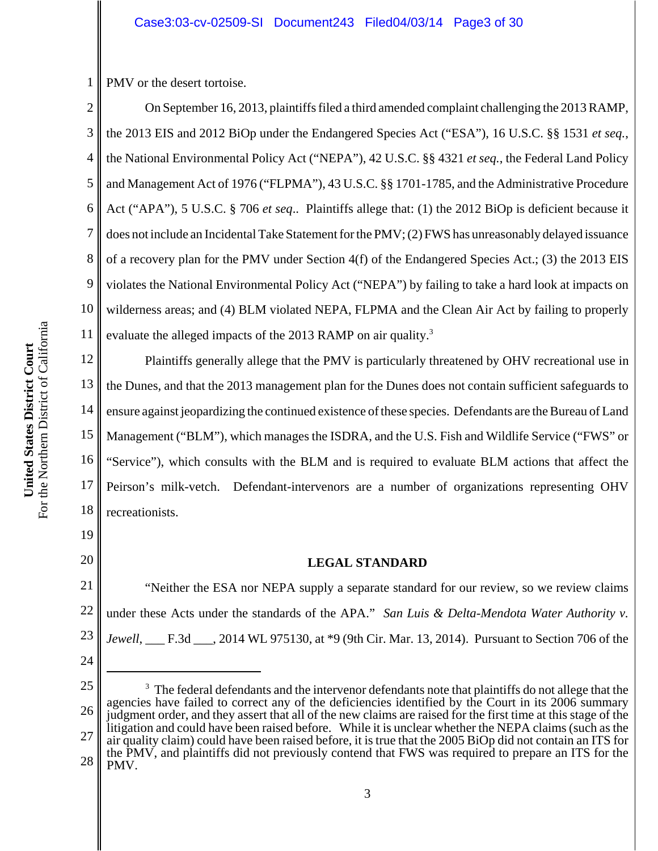1 PMV or the desert tortoise.

2 3 4 5 6 7 8 9 10 11 On September 16, 2013, plaintiffs filed a third amended complaint challenging the 2013 RAMP, the 2013 EIS and 2012 BiOp under the Endangered Species Act ("ESA"), 16 U.S.C. §§ 1531 *et seq.*, the National Environmental Policy Act ("NEPA"), 42 U.S.C. §§ 4321 *et seq.*, the Federal Land Policy and Management Act of 1976 ("FLPMA"), 43 U.S.C. §§ 1701-1785, and the Administrative Procedure Act ("APA"), 5 U.S.C. § 706 *et seq*.. Plaintiffs allege that: (1) the 2012 BiOp is deficient because it does not include an Incidental Take Statement for the PMV; (2) FWS has unreasonably delayed issuance of a recovery plan for the PMV under Section 4(f) of the Endangered Species Act.; (3) the 2013 EIS violates the National Environmental Policy Act ("NEPA") by failing to take a hard look at impacts on wilderness areas; and (4) BLM violated NEPA, FLPMA and the Clean Air Act by failing to properly evaluate the alleged impacts of the 2013 RAMP on air quality.<sup>3</sup>

12 13 14 15 16 17 18 Plaintiffs generally allege that the PMV is particularly threatened by OHV recreational use in the Dunes, and that the 2013 management plan for the Dunes does not contain sufficient safeguards to ensure against jeopardizing the continued existence of these species. Defendants are the Bureau of Land Management ("BLM"), which manages the ISDRA, and the U.S. Fish and Wildlife Service ("FWS" or "Service"), which consults with the BLM and is required to evaluate BLM actions that affect the Peirson's milk-vetch. Defendant-intervenors are a number of organizations representing OHV recreationists.

19 20

# **LEGAL STANDARD**

21 22 23 "Neither the ESA nor NEPA supply a separate standard for our review, so we review claims under these Acts under the standards of the APA." *San Luis & Delta-Mendota Water Authority v. Jewell*, <u>F.3d , 2014 WL 975130</u>, at \*9 (9th Cir. Mar. 13, 2014). Pursuant to Section 706 of the

<sup>25</sup> 26 27 28  $3$  The federal defendants and the intervenor defendants note that plaintiffs do not allege that the agencies have failed to correct any of the deficiencies identified by the Court in its 2006 summary judgment order, and they assert that all of the new claims are raised for the first time at this stage of the litigation and could have been raised before. While it is unclear whether the NEPA claims (such as the air quality claim) could have been raised before, it is true that the 2005 BiOp did not contain an ITS for the PMV, and plaintiffs did not previously contend that FWS was required to prepare an ITS for the PMV.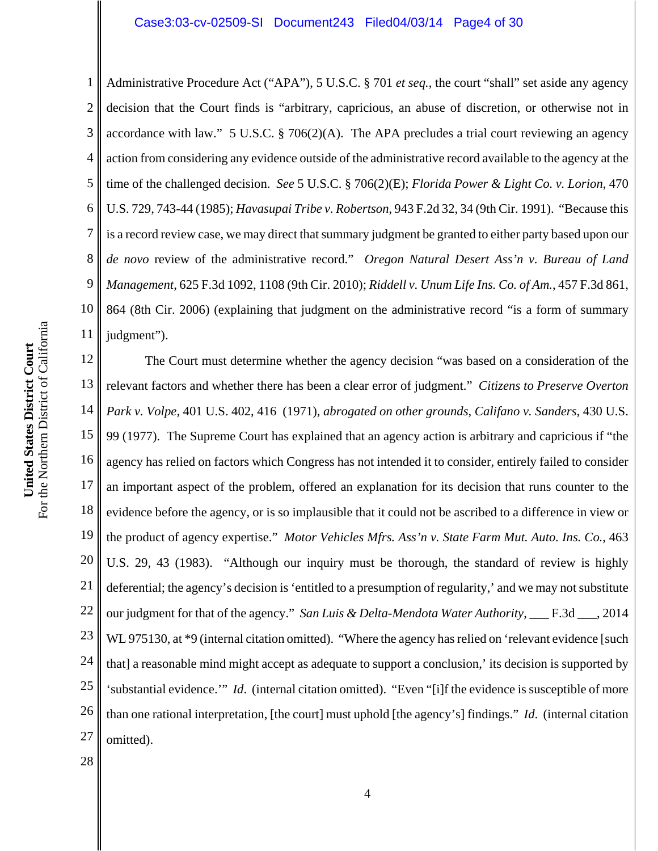1 2 3 4 5 6 7 8 9 10 11 Administrative Procedure Act ("APA"), 5 U.S.C. § 701 *et seq.*, the court "shall" set aside any agency decision that the Court finds is "arbitrary, capricious, an abuse of discretion, or otherwise not in accordance with law." 5 U.S.C. § 706(2)(A). The APA precludes a trial court reviewing an agency action from considering any evidence outside of the administrative record available to the agency at the time of the challenged decision. *See* 5 U.S.C. § 706(2)(E); *Florida Power & Light Co. v. Lorion*, 470 U.S. 729, 743-44 (1985); *Havasupai Tribe v. Robertson*, 943 F.2d 32, 34 (9th Cir. 1991). "Because this is a record review case, we may direct that summary judgment be granted to either party based upon our *de novo* review of the administrative record." *Oregon Natural Desert Ass'n v. Bureau of Land Management*, 625 F.3d 1092, 1108 (9th Cir. 2010); *Riddell v. Unum Life Ins. Co. of Am.*, 457 F.3d 861, 864 (8th Cir. 2006) (explaining that judgment on the administrative record "is a form of summary judgment").

12 13 14 15 16 17 18 19 20 21 22 23 24 25 26 27 The Court must determine whether the agency decision "was based on a consideration of the relevant factors and whether there has been a clear error of judgment." *Citizens to Preserve Overton Park v. Volpe*, 401 U.S. 402, 416 (1971), *abrogated on other grounds, Califano v. Sanders*, 430 U.S. 99 (1977). The Supreme Court has explained that an agency action is arbitrary and capricious if "the agency has relied on factors which Congress has not intended it to consider, entirely failed to consider an important aspect of the problem, offered an explanation for its decision that runs counter to the evidence before the agency, or is so implausible that it could not be ascribed to a difference in view or the product of agency expertise." *Motor Vehicles Mfrs. Ass'n v. State Farm Mut. Auto. Ins. Co.*, 463 U.S. 29, 43 (1983). "Although our inquiry must be thorough, the standard of review is highly deferential; the agency's decision is 'entitled to a presumption of regularity,' and we may not substitute our judgment for that of the agency." *San Luis & Delta-Mendota Water Authority*, \_\_\_ F.3d \_\_\_, 2014 WL 975130, at \*9 (internal citation omitted). "Where the agency has relied on 'relevant evidence [such that] a reasonable mind might accept as adequate to support a conclusion,' its decision is supported by 'substantial evidence.'" *Id*. (internal citation omitted). "Even "[i]f the evidence is susceptible of more than one rational interpretation, [the court] must uphold [the agency's] findings." *Id*. (internal citation omitted).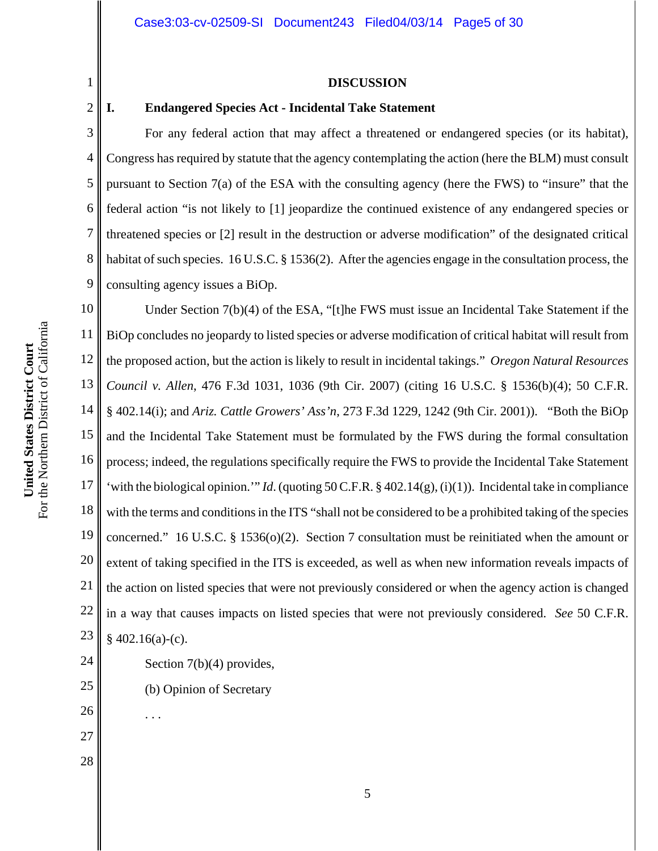### **DISCUSSION**

## **I. Endangered Species Act - Incidental Take Statement**

4 6 7 8 9 For any federal action that may affect a threatened or endangered species (or its habitat), Congress has required by statute that the agency contemplating the action (here the BLM) must consult pursuant to Section 7(a) of the ESA with the consulting agency (here the FWS) to "insure" that the federal action "is not likely to [1] jeopardize the continued existence of any endangered species or threatened species or [2] result in the destruction or adverse modification" of the designated critical habitat of such species. 16 U.S.C. § 1536(2). After the agencies engage in the consultation process, the consulting agency issues a BiOp.

10 Under Section 7(b)(4) of the ESA, "[t]he FWS must issue an Incidental Take Statement if the BiOp concludes no jeopardy to listed species or adverse modification of critical habitat will result from the proposed action, but the action is likely to result in incidental takings." *Oregon Natural Resources Council v. Allen*, 476 F.3d 1031, 1036 (9th Cir. 2007) (citing 16 U.S.C. § 1536(b)(4); 50 C.F.R. § 402.14(i); and *Ariz. Cattle Growers' Ass'n*, 273 F.3d 1229, 1242 (9th Cir. 2001)). "Both the BiOp and the Incidental Take Statement must be formulated by the FWS during the formal consultation process; indeed, the regulations specifically require the FWS to provide the Incidental Take Statement 'with the biological opinion.'" *Id*. (quoting 50 C.F.R. § 402.14(g), (i)(1)). Incidental take in compliance with the terms and conditions in the ITS "shall not be considered to be a prohibited taking of the species concerned." 16 U.S.C. § 1536(o)(2). Section 7 consultation must be reinitiated when the amount or extent of taking specified in the ITS is exceeded, as well as when new information reveals impacts of the action on listed species that were not previously considered or when the agency action is changed in a way that causes impacts on listed species that were not previously considered. *See* 50 C.F.R.  $§$  402.16(a)-(c).

(b) Opinion of Secretary

. . .

- 26 27
- 28

1

2

3

5

11 12 13 14 15 16 17 18 19 20 21 22 23 24 25 Section 7(b)(4) provides,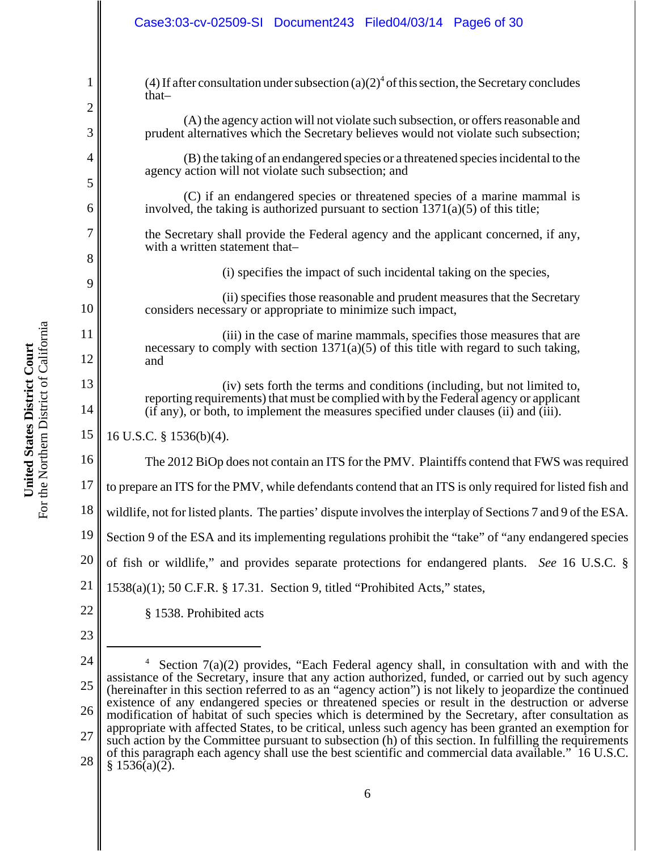# Case3:03-cv-02509-SI Document243 Filed04/03/14 Page6 of 30

For the Northern District of California For the Northern District of California United States District Court **United States District Court**

| 1<br>2          | (4) If after consultation under subsection (a)(2) <sup>4</sup> of this section, the Secretary concludes<br>$that-$                                                                                                                                                  |
|-----------------|---------------------------------------------------------------------------------------------------------------------------------------------------------------------------------------------------------------------------------------------------------------------|
| 3               | (A) the agency action will not violate such subsection, or offers reasonable and<br>prudent alternatives which the Secretary believes would not violate such subsection;                                                                                            |
| 4               | (B) the taking of an endangered species or a threatened species incidental to the<br>agency action will not violate such subsection; and                                                                                                                            |
| 5<br>6          | (C) if an endangered species or threatened species of a marine mammal is<br>involved, the taking is authorized pursuant to section $1371(a)(5)$ of this title;                                                                                                      |
| 7               | the Secretary shall provide the Federal agency and the applicant concerned, if any,<br>with a written statement that-                                                                                                                                               |
| 8<br>9          | (i) specifies the impact of such incidental taking on the species,                                                                                                                                                                                                  |
| 10              | (ii) specifies those reasonable and prudent measures that the Secretary<br>considers necessary or appropriate to minimize such impact,                                                                                                                              |
| 11<br>12        | (iii) in the case of marine mammals, specifies those measures that are<br>necessary to comply with section $1371(a)(5)$ of this title with regard to such taking,<br>and                                                                                            |
| 13<br>14        | (iv) sets forth the terms and conditions (including, but not limited to,<br>reporting requirements) that must be complied with by the Federal agency or applicant<br>$(i\tilde{f}$ any), or both, to implement the measures specified under clauses (ii) and (iii). |
| 15              | 16 U.S.C. § 1536(b)(4).                                                                                                                                                                                                                                             |
| 16              | The 2012 BiOp does not contain an ITS for the PMV. Plaintiffs contend that FWS was required                                                                                                                                                                         |
| 17              | to prepare an ITS for the PMV, while defendants contend that an ITS is only required for listed fish and                                                                                                                                                            |
| 18              | wildlife, not for listed plants. The parties' dispute involves the interplay of Sections 7 and 9 of the ESA.                                                                                                                                                        |
| 19 <sup>1</sup> | Section 9 of the ESA and its implementing regulations prohibit the "take" of "any endangered species                                                                                                                                                                |
| 20              | of fish or wildlife," and provides separate protections for endangered plants. See 16 U.S.C. §                                                                                                                                                                      |
| 21              | 1538(a)(1); 50 C.F.R. § 17.31. Section 9, titled "Prohibited Acts," states,                                                                                                                                                                                         |
| 22              | § 1538. Prohibited acts                                                                                                                                                                                                                                             |
| 23              |                                                                                                                                                                                                                                                                     |
| 24              | Section 7(a)(2) provides, "Each Federal agency shall, in consultation with and with the                                                                                                                                                                             |

<sup>24</sup> 25 26 27 28 assistance of the Secretary, insure that any action authorized, funded, or carried out by such agency (hereinafter in this section referred to as an "agency action") is not likely to jeopardize the continued existence of any endangered species or threatened species or result in the destruction or adverse modification of habitat of such species which is determined by the Secretary, after consultation as appropriate with affected States, to be critical, unless such agency has been granted an exemption for such action by the Committee pursuant to subsection (h) of this section. In fulfilling the requirements of this paragraph each agency shall use the best scientific and commercial data available." 16 U.S.C.  $§ 1536(a)(2).$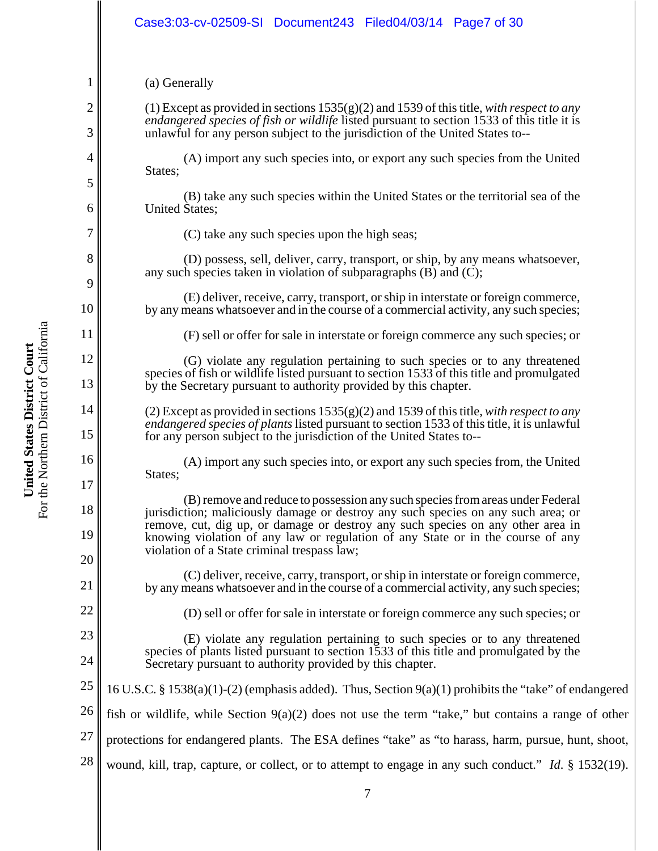(a) Generally

1

2

3

4

5

6

7

8

9

10

11

12

13

14

15

16

17

18

19

20

21

22

23

24

(1) Except as provided in sections 1535(g)(2) and 1539 of this title, *with respect to any endangered species of fish or wildlife* listed pursuant to section 1533 of this title it is unlawful for any person subject to the jurisdiction of the United States to--

(A) import any such species into, or export any such species from the United States;

(B) take any such species within the United States or the territorial sea of the United States;

(C) take any such species upon the high seas;

(D) possess, sell, deliver, carry, transport, or ship, by any means whatsoever, any such species taken in violation of subparagraphs  $(B)$  and  $(C)$ ;

(E) deliver, receive, carry, transport, or ship in interstate or foreign commerce, by any means whatsoever and in the course of a commercial activity, any such species;

(F) sell or offer for sale in interstate or foreign commerce any such species; or

(G) violate any regulation pertaining to such species or to any threatened species of fish or wildlife listed pursuant to section 1533 of this title and promulgated by the Secretary pursuant to authority provided by this chapter.

(2) Except as provided in sections 1535(g)(2) and 1539 of this title, *with respect to any endangered species of plants* listed pursuant to section 1533 of this title, it is unlawful for any person subject to the jurisdiction of the United States to--

(A) import any such species into, or export any such species from, the United States;

(B) remove and reduce to possession any such species from areas under Federal jurisdiction; maliciously damage or destroy any such species on any such area; or remove, cut, dig up, or damage or destroy any such species on any other area in knowing violation of any law or regulation of any State or in the course of any violation of a State criminal trespass law;

(C) deliver, receive, carry, transport, or ship in interstate or foreign commerce, by any means whatsoever and in the course of a commercial activity, any such species;

(D) sell or offer for sale in interstate or foreign commerce any such species; or

(E) violate any regulation pertaining to such species or to any threatened species of plants listed pursuant to section 1533 of this title and promulgated by the Secretary pursuant to authority provided by this chapter.

25 26 27  $16$  U.S.C. §  $1538(a)(1)-(2)$  (emphasis added). Thus, Section  $9(a)(1)$  prohibits the "take" of endangered fish or wildlife, while Section 9(a)(2) does not use the term "take," but contains a range of other protections for endangered plants. The ESA defines "take" as "to harass, harm, pursue, hunt, shoot,

28 wound, kill, trap, capture, or collect, or to attempt to engage in any such conduct." *Id*. § 1532(19).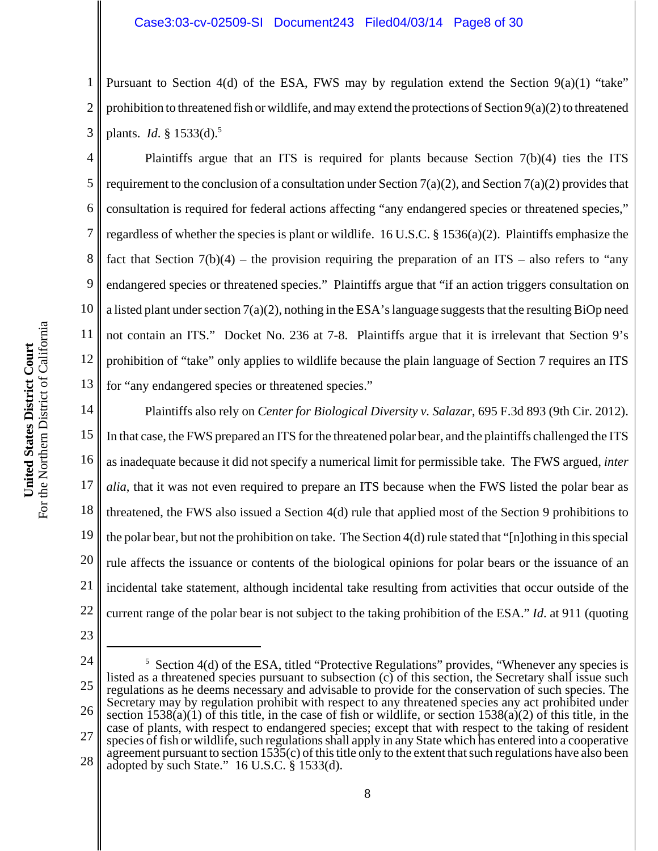2 3 Pursuant to Section 4(d) of the ESA, FWS may by regulation extend the Section  $9(a)(1)$  "take" prohibition to threatened fish or wildlife, and may extend the protections of Section 9(a)(2) to threatened plants. *Id.* § 1533(d).<sup>5</sup>

4 5 6 7 8 9 10 11 12 13 Plaintiffs argue that an ITS is required for plants because Section 7(b)(4) ties the ITS requirement to the conclusion of a consultation under Section 7(a)(2), and Section 7(a)(2) provides that consultation is required for federal actions affecting "any endangered species or threatened species," regardless of whether the species is plant or wildlife. 16 U.S.C. § 1536(a)(2). Plaintiffs emphasize the fact that Section  $7(b)(4)$  – the provision requiring the preparation of an ITS – also refers to "any endangered species or threatened species." Plaintiffs argue that "if an action triggers consultation on a listed plant under section  $7(a)(2)$ , nothing in the ESA's language suggests that the resulting BiOp need not contain an ITS." Docket No. 236 at 7-8. Plaintiffs argue that it is irrelevant that Section 9's prohibition of "take" only applies to wildlife because the plain language of Section 7 requires an ITS for "any endangered species or threatened species."

14 15 16 17 18 19 20 21 22 Plaintiffs also rely on *Center for Biological Diversity v. Salazar*, 695 F.3d 893 (9th Cir. 2012). In that case, the FWS prepared an ITS for the threatened polar bear, and the plaintiffs challenged the ITS as inadequate because it did not specify a numerical limit for permissible take. The FWS argued, *inter alia*, that it was not even required to prepare an ITS because when the FWS listed the polar bear as threatened, the FWS also issued a Section 4(d) rule that applied most of the Section 9 prohibitions to the polar bear, but not the prohibition on take. The Section 4(d) rule stated that "[n]othing in this special rule affects the issuance or contents of the biological opinions for polar bears or the issuance of an incidental take statement, although incidental take resulting from activities that occur outside of the current range of the polar bear is not subject to the taking prohibition of the ESA." *Id*. at 911 (quoting

23

1

24 25 26 27 28 <sup>5</sup> Section 4(d) of the ESA, titled "Protective Regulations" provides, "Whenever any species is listed as a threatened species pursuant to subsection (c) of this section, the Secretary shall issue such regulations as he deems necessary and advisable to provide for the conservation of such species. The Secretary may by regulation prohibit with respect to any threatened species any act prohibited under section  $1538(a)(1)$  of this title, in the case of fish or wildlife, or section  $1538(a)(2)$  of this title, in the case of plants, with respect to endangered species; except that with respect to the taking of resident species of fish or wildlife, such regulations shall apply in any State which has entered into a cooperative agreement pursuant to section 1535(c) of this title only to the extent that such regulations have also been adopted by such State." 16 U.S.C. § 1533(d).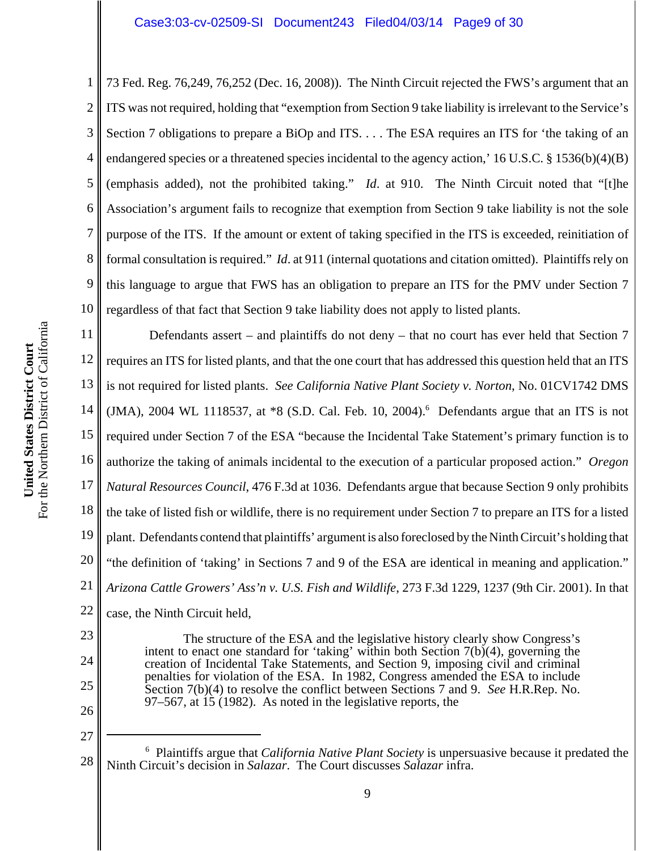1 2 3 4 5 6 7 8 9 10 73 Fed. Reg. 76,249, 76,252 (Dec. 16, 2008)). The Ninth Circuit rejected the FWS's argument that an ITS was not required, holding that "exemption from Section 9 take liability is irrelevant to the Service's Section 7 obligations to prepare a BiOp and ITS.... The ESA requires an ITS for 'the taking of an endangered species or a threatened species incidental to the agency action,' 16 U.S.C. § 1536(b)(4)(B) (emphasis added), not the prohibited taking." *Id*. at 910. The Ninth Circuit noted that "[t]he Association's argument fails to recognize that exemption from Section 9 take liability is not the sole purpose of the ITS. If the amount or extent of taking specified in the ITS is exceeded, reinitiation of formal consultation is required." *Id*. at 911 (internal quotations and citation omitted). Plaintiffs rely on this language to argue that FWS has an obligation to prepare an ITS for the PMV under Section 7 regardless of that fact that Section 9 take liability does not apply to listed plants.

11 12 13 14 15 16 17 18 19 20 21 22 Defendants assert – and plaintiffs do not deny – that no court has ever held that Section 7 requires an ITS for listed plants, and that the one court that has addressed this question held that an ITS is not required for listed plants. *See California Native Plant Society v. Norton*, No. 01CV1742 DMS (JMA), 2004 WL 1118537, at \*8 (S.D. Cal. Feb. 10, 2004).<sup>6</sup> Defendants argue that an ITS is not required under Section 7 of the ESA "because the Incidental Take Statement's primary function is to authorize the taking of animals incidental to the execution of a particular proposed action." *Oregon Natural Resources Council*, 476 F.3d at 1036. Defendants argue that because Section 9 only prohibits the take of listed fish or wildlife, there is no requirement under Section 7 to prepare an ITS for a listed plant. Defendants contend that plaintiffs' argument is also foreclosed by the Ninth Circuit's holding that "the definition of 'taking' in Sections 7 and 9 of the ESA are identical in meaning and application." *Arizona Cattle Growers' Ass'n v. U.S. Fish and Wildlife*, 273 F.3d 1229, 1237 (9th Cir. 2001). In that case, the Ninth Circuit held,

> The structure of the ESA and the legislative history clearly show Congress's intent to enact one standard for 'taking' within both Section 7(b)(4), governing the creation of Incidental Take Statements, and Section 9, imposing civil and criminal penalties for violation of the ESA. In 1982, Congress amended the ESA to include Section 7(b)(4) to resolve the conflict between Sections 7 and 9. *See* H.R.Rep. No. 97–567, at 15 (1982). As noted in the legislative reports, the

23

24

25

26

<sup>28</sup> 6 Plaintiffs argue that *California Native Plant Society* is unpersuasive because it predated the Ninth Circuit's decision in *Salazar*. The Court discusses *Salazar* infra.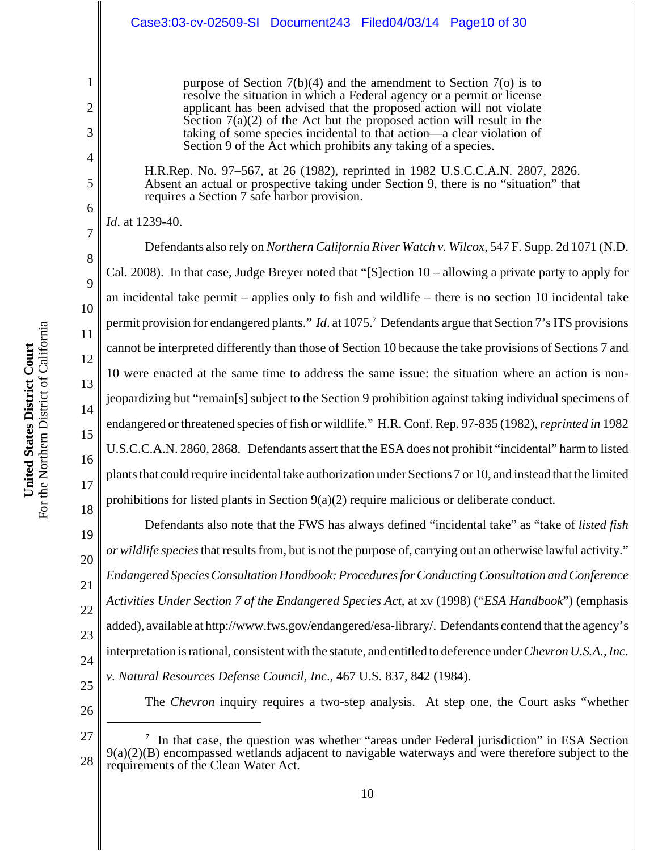## Case3:03-cv-02509-SI Document243 Filed04/03/14 Page10 of 30

purpose of Section 7(b)(4) and the amendment to Section 7(o) is to resolve the situation in which a Federal agency or a permit or license applicant has been advised that the proposed action will not violate Section  $7(a)(2)$  of the Act but the proposed action will result in the taking of some species incidental to that action—a clear violation of Section 9 of the Act which prohibits any taking of a species.

H.R.Rep. No. 97–567, at 26 (1982), reprinted in 1982 U.S.C.C.A.N. 2807, 2826. Absent an actual or prospective taking under Section 9, there is no "situation" that requires a Section 7 safe harbor provision.

*Id*. at 1239-40.

1

2

3

4

5

6

7

8

9

10

11

12

13

14

15

16

17

18

Defendants also rely on *Northern California River Watch v. Wilcox*, 547 F. Supp. 2d 1071 (N.D. Cal. 2008). In that case, Judge Breyer noted that "[S]ection 10 – allowing a private party to apply for an incidental take permit – applies only to fish and wildlife – there is no section 10 incidental take permit provision for endangered plants." *Id.* at 1075.<sup>7</sup> Defendants argue that Section 7's ITS provisions cannot be interpreted differently than those of Section 10 because the take provisions of Sections 7 and 10 were enacted at the same time to address the same issue: the situation where an action is nonjeopardizing but "remain[s] subject to the Section 9 prohibition against taking individual specimens of endangered or threatened species of fish or wildlife." H.R. Conf. Rep. 97-835 (1982), *reprinted in* 1982 U.S.C.C.A.N. 2860, 2868. Defendants assert that the ESA does not prohibit "incidental" harm to listed plants that could require incidental take authorization under Sections 7 or 10, and instead that the limited prohibitions for listed plants in Section 9(a)(2) require malicious or deliberate conduct.

19 20 21 22 23 24 25 Defendants also note that the FWS has always defined "incidental take" as "take of *listed fish or wildlife species* that results from, but is not the purpose of, carrying out an otherwise lawful activity." *Endangered Species Consultation Handbook: Procedures for Conducting Consultation and Conference Activities Under Section 7 of the Endangered Species Act*, at xv (1998) ("*ESA Handbook*") (emphasis added), available at http://www.fws.gov/endangered/esa-library/. Defendants contend that the agency's interpretation is rational, consistent with the statute, and entitled to deference under *Chevron U.S.A., Inc. v. Natural Resources Defense Council, Inc*., 467 U.S. 837, 842 (1984).

26

The *Chevron* inquiry requires a two-step analysis. At step one, the Court asks "whether

<sup>27</sup> 28  $<sup>7</sup>$  In that case, the question was whether "areas under Federal jurisdiction" in ESA Section</sup>  $9(a)(2)(B)$  encompassed wetlands adjacent to navigable waterways and were therefore subject to the requirements of the Clean Water Act.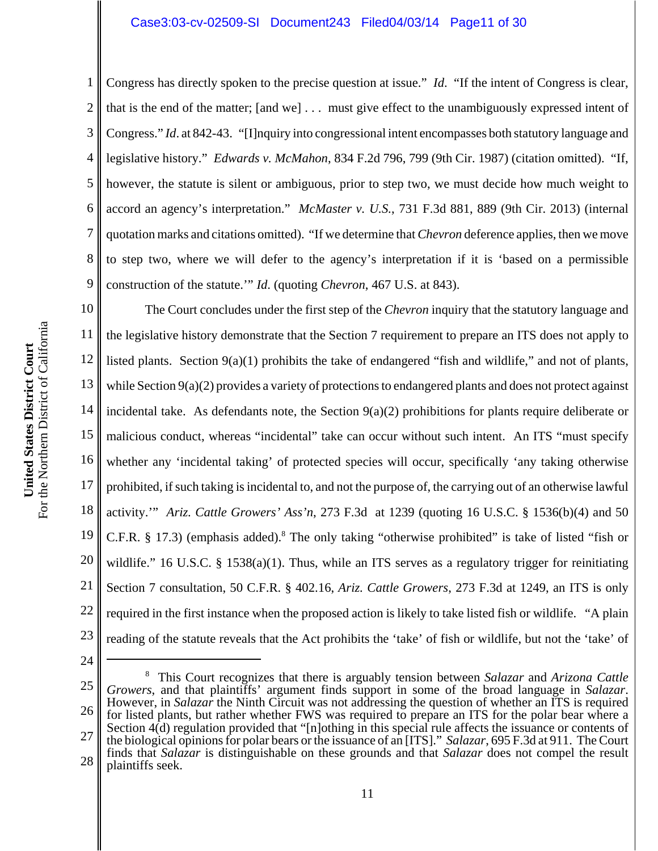### Case3:03-cv-02509-SI Document243 Filed04/03/14 Page11 of 30

Congress has directly spoken to the precise question at issue." *Id*. "If the intent of Congress is clear, that is the end of the matter; [and we] . . . must give effect to the unambiguously expressed intent of Congress." *Id*. at 842-43. "[I]nquiry into congressional intent encompasses both statutory language and legislative history." *Edwards v. McMahon*, 834 F.2d 796, 799 (9th Cir. 1987) (citation omitted). "If, however, the statute is silent or ambiguous, prior to step two, we must decide how much weight to accord an agency's interpretation." *McMaster v. U.S.*, 731 F.3d 881, 889 (9th Cir. 2013) (internal quotation marks and citations omitted). "If we determine that *Chevron* deference applies, then we move to step two, where we will defer to the agency's interpretation if it is 'based on a permissible construction of the statute.'" *Id*. (quoting *Chevron*, 467 U.S. at 843).

10 11 12 13 14 15 16 17 18 19 20 21 22 23 The Court concludes under the first step of the *Chevron* inquiry that the statutory language and the legislative history demonstrate that the Section 7 requirement to prepare an ITS does not apply to listed plants. Section 9(a)(1) prohibits the take of endangered "fish and wildlife," and not of plants, while Section 9(a)(2) provides a variety of protections to endangered plants and does not protect against incidental take. As defendants note, the Section  $9(a)(2)$  prohibitions for plants require deliberate or malicious conduct, whereas "incidental" take can occur without such intent. An ITS "must specify whether any 'incidental taking' of protected species will occur, specifically 'any taking otherwise prohibited, if such taking is incidental to, and not the purpose of, the carrying out of an otherwise lawful activity.'" *Ariz. Cattle Growers' Ass'n*, 273 F.3d at 1239 (quoting 16 U.S.C. § 1536(b)(4) and 50 C.F.R. § 17.3) (emphasis added).<sup>8</sup> The only taking "otherwise prohibited" is take of listed "fish or wildlife." 16 U.S.C.  $\S$  1538(a)(1). Thus, while an ITS serves as a regulatory trigger for reinitiating Section 7 consultation, 50 C.F.R. § 402.16, *Ariz. Cattle Growers*, 273 F.3d at 1249, an ITS is only required in the first instance when the proposed action is likely to take listed fish or wildlife. "A plain reading of the statute reveals that the Act prohibits the 'take' of fish or wildlife, but not the 'take' of

24

1

2

3

4

5

6

7

8

<sup>25</sup> 26 27 28 8 This Court recognizes that there is arguably tension between *Salazar* and *Arizona Cattle Growers*, and that plaintiffs' argument finds support in some of the broad language in *Salazar*. However, in *Salazar* the Ninth Circuit was not addressing the question of whether an ITS is required for listed plants, but rather whether FWS was required to prepare an ITS for the polar bear where a Section  $4(d)$  regulation provided that "[n]othing in this special rule affects the issuance or contents of the biological opinions for polar bears or the issuance of an [ITS]." *Salazar*, 695 F.3d at 911. The Court finds that *Salazar* is distinguishable on these grounds and that *Salazar* does not compel the result plaintiffs seek.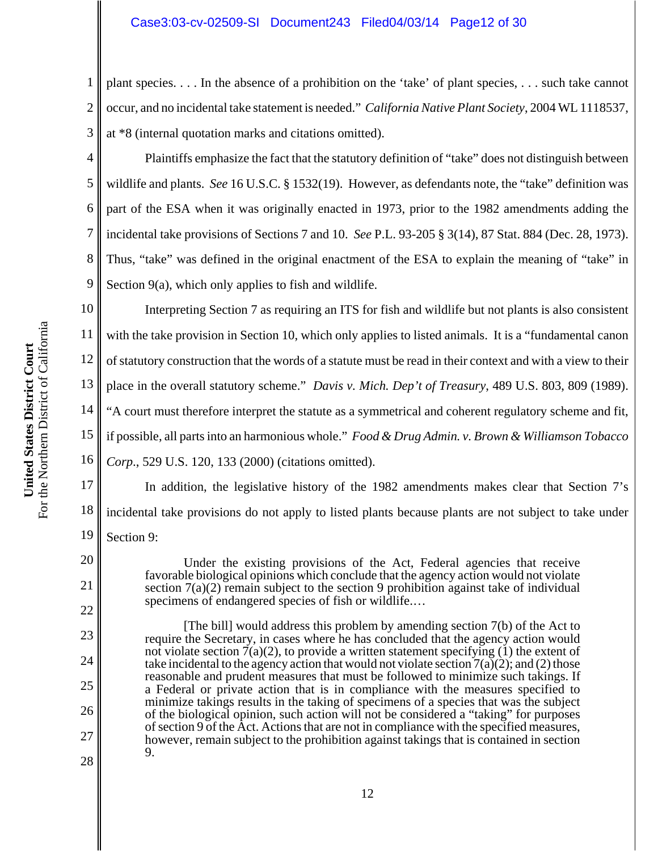## Case3:03-cv-02509-SI Document243 Filed04/03/14 Page12 of 30

3 plant species. . . . In the absence of a prohibition on the 'take' of plant species, . . . such take cannot occur, and no incidental take statement is needed." *California Native Plant Society*, 2004 WL 1118537, at \*8 (internal quotation marks and citations omitted).

Plaintiffs emphasize the fact that the statutory definition of "take" does not distinguish between wildlife and plants. *See* 16 U.S.C. § 1532(19). However, as defendants note, the "take" definition was part of the ESA when it was originally enacted in 1973, prior to the 1982 amendments adding the incidental take provisions of Sections 7 and 10. *See* P.L. 93-205 § 3(14), 87 Stat. 884 (Dec. 28, 1973). Thus, "take" was defined in the original enactment of the ESA to explain the meaning of "take" in Section 9(a), which only applies to fish and wildlife.

10 11 12 13 14 15 16 Interpreting Section 7 as requiring an ITS for fish and wildlife but not plants is also consistent with the take provision in Section 10, which only applies to listed animals. It is a "fundamental canon of statutory construction that the words of a statute must be read in their context and with a view to their place in the overall statutory scheme." *Davis v. Mich. Dep't of Treasury*, 489 U.S. 803, 809 (1989). "A court must therefore interpret the statute as a symmetrical and coherent regulatory scheme and fit, if possible, all parts into an harmonious whole." *Food & Drug Admin. v. Brown & Williamson Tobacco Corp*., 529 U.S. 120, 133 (2000) (citations omitted).

17 18 19 In addition, the legislative history of the 1982 amendments makes clear that Section 7's incidental take provisions do not apply to listed plants because plants are not subject to take under Section 9:

> Under the existing provisions of the Act, Federal agencies that receive favorable biological opinions which conclude that the agency action would not violate section  $7(a)(2)$  remain subject to the section 9 prohibition against take of individual specimens of endangered species of fish or wildlife.…

[The bill] would address this problem by amending section 7(b) of the Act to require the Secretary, in cases where he has concluded that the agency action would not violate section  $\vec{7}(a)(2)$ , to provide a written statement specifying (1) the extent of take incidental to the agency action that would not violate section  $7(a)(2)$ ; and (2) those reasonable and prudent measures that must be followed to minimize such takings. If a Federal or private action that is in compliance with the measures specified to minimize takings results in the taking of specimens of a species that was the subject of the biological opinion, such action will not be considered a "taking" for purposes of section 9 of the Act. Actions that are not in compliance with the specified measures, however, remain subject to the prohibition against takings that is contained in section 9.

1

2

4

5

6

7

8

9

20

21

22

23

24

25

26

27

28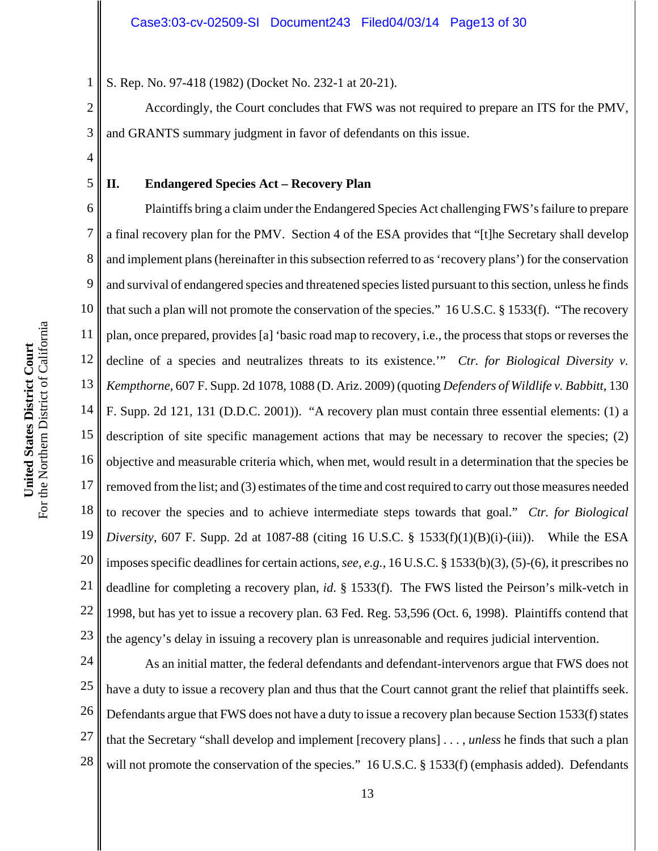1 S. Rep. No. 97-418 (1982) (Docket No. 232-1 at 20-21).

Accordingly, the Court concludes that FWS was not required to prepare an ITS for the PMV, and GRANTS summary judgment in favor of defendants on this issue.

4 5

2

3

# **II. Endangered Species Act – Recovery Plan**

6 7 8 9 10 11 12 13 14 15 16 17 18 19 20 21 22 23 Plaintiffs bring a claim under the Endangered Species Act challenging FWS's failure to prepare a final recovery plan for the PMV. Section 4 of the ESA provides that "[t]he Secretary shall develop and implement plans (hereinafter in this subsection referred to as 'recovery plans') for the conservation and survival of endangered species and threatened species listed pursuant to this section, unless he finds that such a plan will not promote the conservation of the species." 16 U.S.C. § 1533(f). "The recovery plan, once prepared, provides [a] 'basic road map to recovery, i.e., the process that stops or reverses the decline of a species and neutralizes threats to its existence.'" *Ctr. for Biological Diversity v. Kempthorne*, 607 F. Supp. 2d 1078, 1088 (D. Ariz. 2009) (quoting *Defenders of Wildlife v. Babbitt*, 130 F. Supp. 2d 121, 131 (D.D.C. 2001)). "A recovery plan must contain three essential elements: (1) a description of site specific management actions that may be necessary to recover the species; (2) objective and measurable criteria which, when met, would result in a determination that the species be removed from the list; and (3) estimates of the time and cost required to carry out those measures needed to recover the species and to achieve intermediate steps towards that goal." *Ctr. for Biological Diversity*, 607 F. Supp. 2d at 1087-88 (citing 16 U.S.C. § 1533(f)(1)(B)(i)-(iii)). While the ESA imposes specific deadlines for certain actions, *see, e.g.*, 16 U.S.C. § 1533(b)(3), (5)-(6), it prescribes no deadline for completing a recovery plan, *id*. § 1533(f). The FWS listed the Peirson's milk-vetch in 1998, but has yet to issue a recovery plan. 63 Fed. Reg. 53,596 (Oct. 6, 1998). Plaintiffs contend that the agency's delay in issuing a recovery plan is unreasonable and requires judicial intervention.

24 25 26 27 28 As an initial matter, the federal defendants and defendant-intervenors argue that FWS does not have a duty to issue a recovery plan and thus that the Court cannot grant the relief that plaintiffs seek. Defendants argue that FWS does not have a duty to issue a recovery plan because Section 1533(f) states that the Secretary "shall develop and implement [recovery plans] . . . , *unless* he finds that such a plan will not promote the conservation of the species." 16 U.S.C. § 1533(f) (emphasis added). Defendants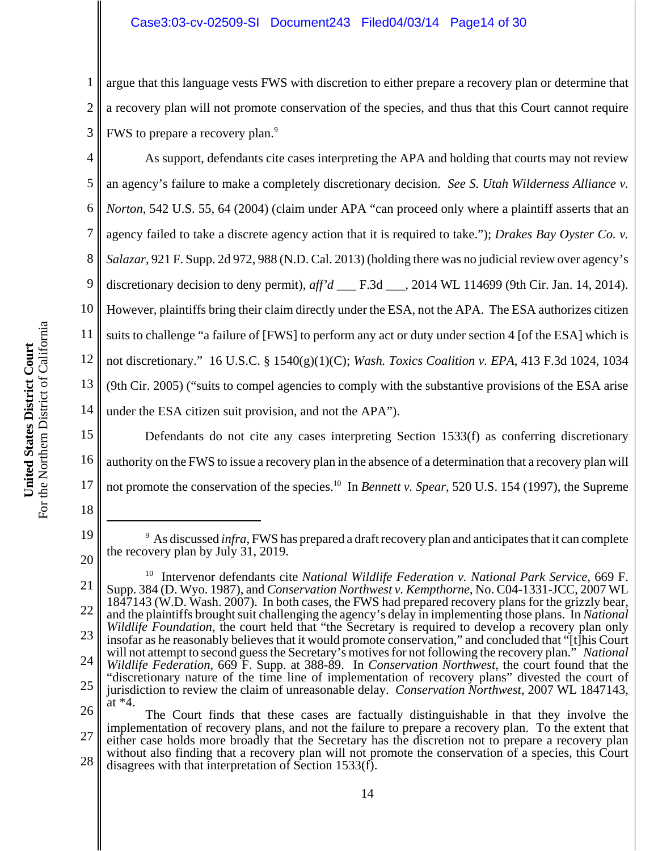# Case3:03-cv-02509-SI Document243 Filed04/03/14 Page14 of 30

1 2 3 argue that this language vests FWS with discretion to either prepare a recovery plan or determine that a recovery plan will not promote conservation of the species, and thus that this Court cannot require FWS to prepare a recovery plan.<sup>9</sup>

4 5 6 7 8 9 10 11 12 13 14 As support, defendants cite cases interpreting the APA and holding that courts may not review an agency's failure to make a completely discretionary decision. *See S. Utah Wilderness Alliance v. Norton*, 542 U.S. 55, 64 (2004) (claim under APA "can proceed only where a plaintiff asserts that an agency failed to take a discrete agency action that it is required to take."); *Drakes Bay Oyster Co. v. Salazar*, 921 F. Supp. 2d 972, 988 (N.D. Cal. 2013) (holding there was no judicial review over agency's discretionary decision to deny permit), *aff'd \_\_\_* F.3d \_\_\_, 2014 WL 114699 (9th Cir. Jan. 14, 2014). However, plaintiffs bring their claim directly under the ESA, not the APA. The ESA authorizes citizen suits to challenge "a failure of [FWS] to perform any act or duty under section 4 [of the ESA] which is not discretionary." 16 U.S.C. § 1540(g)(1)(C); *Wash. Toxics Coalition v. EPA*, 413 F.3d 1024, 1034 (9th Cir. 2005) ("suits to compel agencies to comply with the substantive provisions of the ESA arise under the ESA citizen suit provision, and not the APA").

15 16 17 Defendants do not cite any cases interpreting Section 1533(f) as conferring discretionary authority on the FWS to issue a recovery plan in the absence of a determination that a recovery plan will not promote the conservation of the species.<sup>10</sup> In *Bennett v. Spear*, 520 U.S. 154 (1997), the Supreme

19 20

<sup>&</sup>lt;sup>9</sup> As discussed *infra*, FWS has prepared a draft recovery plan and anticipates that it can complete the recovery plan by July 31, 2019.

<sup>21</sup> 22 23 24 25 10 Intervenor defendants cite *National Wildlife Federation v. National Park Service*, 669 F. Supp. 384 (D. Wyo. 1987), and *Conservation Northwest v. Kempthorne*, No. C04-1331-JCC, 2007 WL 1847143 (W.D. Wash. 2007). In both cases, the FWS had prepared recovery plans for the grizzly bear, and the plaintiffs brought suit challenging the agency's delay in implementing those plans. In *National Wildlife Foundation*, the court held that "the Secretary is required to develop a recovery plan only insofar as he reasonably believes that it would promote conservation," and concluded that "[t]his Court will not attempt to second guess the Secretary's motives for not following the recovery plan." *National Wildlife Federation*, 669 F. Supp. at 388-89. In *Conservation Northwest*, the court found that the "discretionary nature of the time line of implementation of recovery plans" divested the court of jurisdiction to review the claim of unreasonable delay. *Conservation Northwest*, 2007 WL 1847143, at \*4.

<sup>26</sup> 27 28 The Court finds that these cases are factually distinguishable in that they involve the implementation of recovery plans, and not the failure to prepare a recovery plan. To the extent that either case holds more broadly that the Secretary has the discretion not to prepare a recovery plan without also finding that a recovery plan will not promote the conservation of a species, this Court disagrees with that interpretation of Section 1533(f).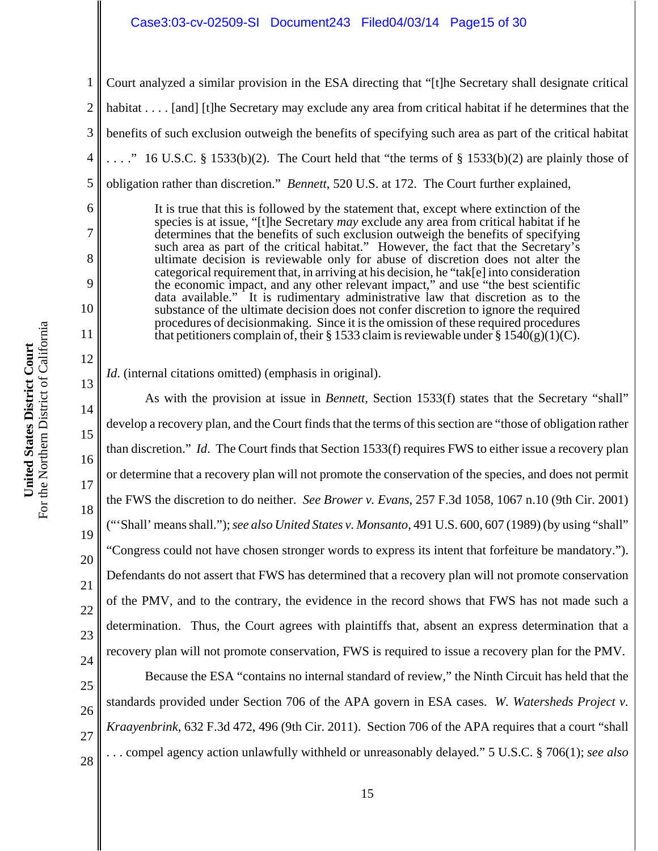## Case3:03-cv-02509-SI Document243 Filed04/03/14 Page15 of 30

1 2 3 4 5 Court analyzed a similar provision in the ESA directing that "[t]he Secretary shall designate critical habitat . . . . [and] [t]he Secretary may exclude any area from critical habitat if he determines that the benefits of such exclusion outweigh the benefits of specifying such area as part of the critical habitat  $\ldots$ ." 16 U.S.C. § 1533(b)(2). The Court held that "the terms of § 1533(b)(2) are plainly those of obligation rather than discretion." *Bennett*, 520 U.S. at 172. The Court further explained,

It is true that this is followed by the statement that, except where extinction of the species is at issue, "[t]he Secretary *may* exclude any area from critical habitat if he determines that the benefits of such exclusion outweigh the benefits of specifying such area as part of the critical habitat." However, the fact that the Secretary's ultimate decision is reviewable only for abuse of discretion does not alter the categorical requirement that, in arriving at his decision, he "tak[e] into consideration the economic impact, and any other relevant impact," and use "the best scientific data available." It is rudimentary administrative law that discretion as to the substance of the ultimate decision does not confer discretion to ignore the required procedures of decisionmaking. Since it is the omission of these required procedures that petitioners complain of, their § 1533 claim is reviewable under § 154 $\tilde{O}(g)(1)(C)$ .

*Id.* (internal citations omitted) (emphasis in original).

As with the provision at issue in *Bennett*, Section 1533(f) states that the Secretary "shall" develop a recovery plan, and the Court finds that the terms of this section are "those of obligation rather than discretion." *Id*. The Court finds that Section 1533(f) requires FWS to either issue a recovery plan or determine that a recovery plan will not promote the conservation of the species, and does not permit the FWS the discretion to do neither. *See Brower v. Evans*, 257 F.3d 1058, 1067 n.10 (9th Cir. 2001) ("'Shall' means shall."); *see also United States v. Monsanto*, 491 U.S. 600, 607 (1989) (by using "shall" "Congress could not have chosen stronger words to express its intent that forfeiture be mandatory."). Defendants do not assert that FWS has determined that a recovery plan will not promote conservation of the PMV, and to the contrary, the evidence in the record shows that FWS has not made such a determination. Thus, the Court agrees with plaintiffs that, absent an express determination that a recovery plan will not promote conservation, FWS is required to issue a recovery plan for the PMV.

Because the ESA "contains no internal standard of review," the Ninth Circuit has held that the standards provided under Section 706 of the APA govern in ESA cases. *W. Watersheds Project v. Kraayenbrink*, 632 F.3d 472, 496 (9th Cir. 2011). Section 706 of the APA requires that a court "shall . . . compel agency action unlawfully withheld or unreasonably delayed." 5 U.S.C. § 706(1); *see also*

6

7

8

9

10

11

12

13

14

15

16

17

18

19

20

21

22

23

24

25

26

27

28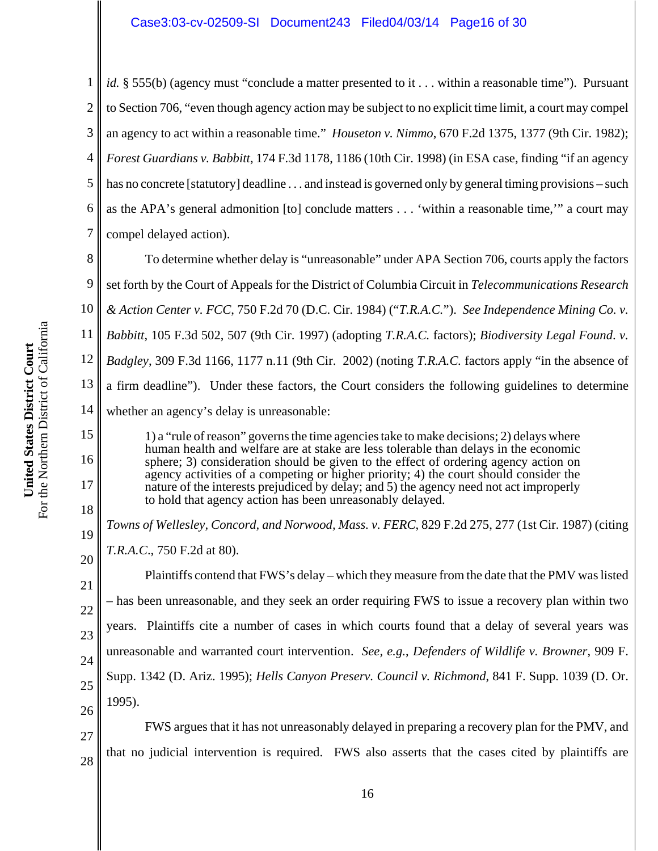1 2 3 4 5 6 7 *id.* § 555(b) (agency must "conclude a matter presented to it . . . within a reasonable time"). Pursuant to Section 706, "even though agency action may be subject to no explicit time limit, a court may compel an agency to act within a reasonable time." *Houseton v. Nimmo*, 670 F.2d 1375, 1377 (9th Cir. 1982); *Forest Guardians v. Babbitt*, 174 F.3d 1178, 1186 (10th Cir. 1998) (in ESA case, finding "if an agency has no concrete [statutory] deadline ... and instead is governed only by general timing provisions – such as the APA's general admonition [to] conclude matters . . . 'within a reasonable time,'" a court may compel delayed action).

8 9 10 11 12 13 14 To determine whether delay is "unreasonable" under APA Section 706, courts apply the factors set forth by the Court of Appeals for the District of Columbia Circuit in *Telecommunications Research & Action Center v. FCC*, 750 F.2d 70 (D.C. Cir. 1984) ("*T.R.A.C.*"). *See Independence Mining Co. v. Babbitt*, 105 F.3d 502, 507 (9th Cir. 1997) (adopting *T.R.A.C.* factors); *Biodiversity Legal Found*. *v. Badgley*, 309 F.3d 1166, 1177 n.11 (9th Cir. 2002) (noting *T.R.A.C.* factors apply "in the absence of a firm deadline"). Under these factors, the Court considers the following guidelines to determine whether an agency's delay is unreasonable:

1) a "rule of reason" governs the time agencies take to make decisions; 2) delays where human health and welfare are at stake are less tolerable than delays in the economic sphere; 3) consideration should be given to the effect of ordering agency action on agency activities of a competing or higher priority; 4) the court should consider the nature of the interests prejudiced by delay; and 5) the agency need not act improperly to hold that agency action has been unreasonably delayed.

19 *Towns of Wellesley, Concord, and Norwood, Mass. v. FERC*, 829 F.2d 275, 277 (1st Cir. 1987) (citing *T.R.A.C*., 750 F.2d at 80).

21 22 23 24 25 26 Plaintiffs contend that FWS's delay – which they measure from the date that the PMV was listed – has been unreasonable, and they seek an order requiring FWS to issue a recovery plan within two years. Plaintiffs cite a number of cases in which courts found that a delay of several years was unreasonable and warranted court intervention. *See, e.g.*, *Defenders of Wildlife v. Browner*, 909 F. Supp. 1342 (D. Ariz. 1995); *Hells Canyon Preserv. Council v. Richmond*, 841 F. Supp. 1039 (D. Or. 1995).

27 28 FWS argues that it has not unreasonably delayed in preparing a recovery plan for the PMV, and that no judicial intervention is required. FWS also asserts that the cases cited by plaintiffs are

16

15

16

17

18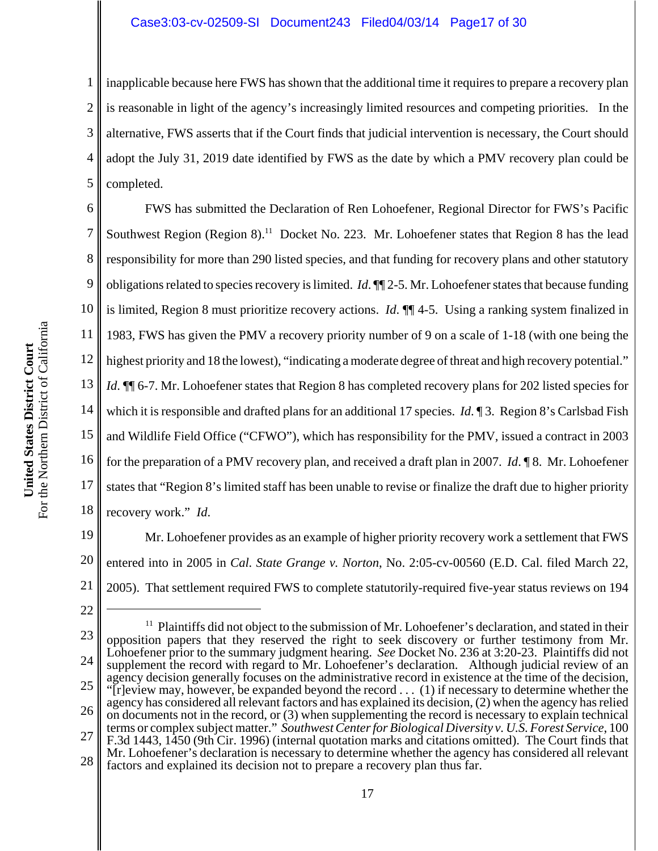1 2 3 4 5 inapplicable because here FWS has shown that the additional time it requires to prepare a recovery plan is reasonable in light of the agency's increasingly limited resources and competing priorities. In the alternative, FWS asserts that if the Court finds that judicial intervention is necessary, the Court should adopt the July 31, 2019 date identified by FWS as the date by which a PMV recovery plan could be completed.

6 7 8 9 10 11 12 13 14 15 16 17 18 FWS has submitted the Declaration of Ren Lohoefener, Regional Director for FWS's Pacific Southwest Region (Region 8).<sup>11</sup> Docket No. 223. Mr. Lohoefener states that Region 8 has the lead responsibility for more than 290 listed species, and that funding for recovery plans and other statutory obligations related to species recovery is limited. *Id*. ¶¶ 2-5. Mr. Lohoefener states that because funding is limited, Region 8 must prioritize recovery actions. *Id*. ¶¶ 4-5. Using a ranking system finalized in 1983, FWS has given the PMV a recovery priority number of 9 on a scale of 1-18 (with one being the highest priority and 18 the lowest), "indicating a moderate degree of threat and high recovery potential." *Id*.  $\P$  6-7. Mr. Lohoefener states that Region 8 has completed recovery plans for 202 listed species for which it is responsible and drafted plans for an additional 17 species. *Id*. **[3.** Region 8's Carlsbad Fish and Wildlife Field Office ("CFWO"), which has responsibility for the PMV, issued a contract in 2003 for the preparation of a PMV recovery plan, and received a draft plan in 2007. *Id*. ¶ 8. Mr. Lohoefener states that "Region 8's limited staff has been unable to revise or finalize the draft due to higher priority recovery work." *Id*.

19 20 21 Mr. Lohoefener provides as an example of higher priority recovery work a settlement that FWS entered into in 2005 in *Cal. State Grange v. Norton*, No. 2:05-cv-00560 (E.D. Cal. filed March 22, 2005). That settlement required FWS to complete statutorily-required five-year status reviews on 194

<sup>23</sup> 24 25 26 27 28  $11$  Plaintiffs did not object to the submission of Mr. Lohoefener's declaration, and stated in their opposition papers that they reserved the right to seek discovery or further testimony from Mr. Lohoefener prior to the summary judgment hearing. *See* Docket No. 236 at 3:20-23. Plaintiffs did not supplement the record with regard to Mr. Lohoefener's declaration. Although judicial review of an agency decision generally focuses on the administrative record in existence at the time of the decision, "[r]eview may, however, be expanded beyond the record . . . (1) if necessary to determine whether the agency has considered all relevant factors and has explained its decision, (2) when the agency has relied on documents not in the record, or (3) when supplementing the record is necessary to explain technical terms or complex subject matter." *Southwest Center for Biological Diversity v. U.S. Forest Service*, 100 F.3d 1443, 1450 (9th Cir. 1996) (internal quotation marks and citations omitted). The Court finds that Mr. Lohoefener's declaration is necessary to determine whether the agency has considered all relevant factors and explained its decision not to prepare a recovery plan thus far.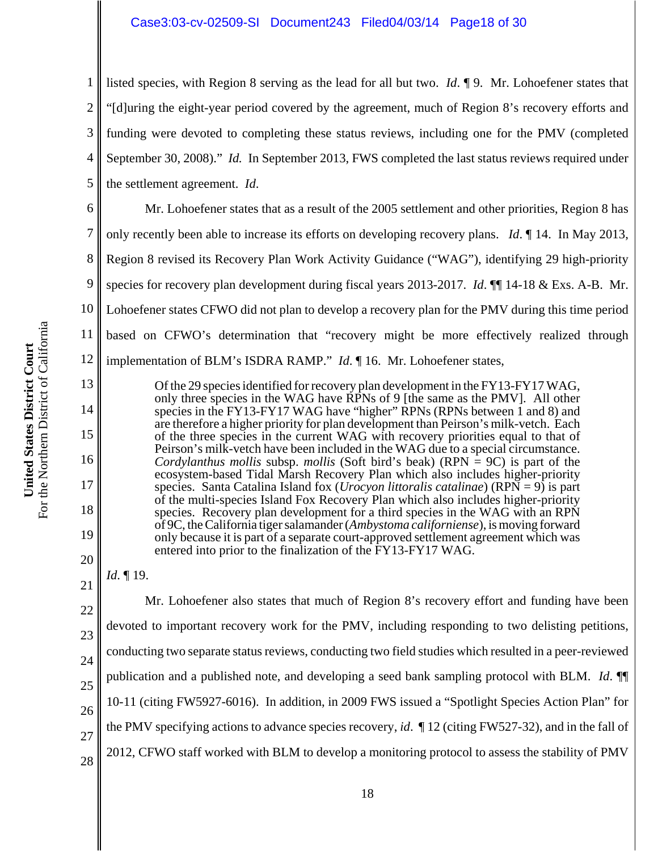1 2 3 4 5 listed species, with Region 8 serving as the lead for all but two. *Id*. ¶ 9. Mr. Lohoefener states that "[d]uring the eight-year period covered by the agreement, much of Region 8's recovery efforts and funding were devoted to completing these status reviews, including one for the PMV (completed September 30, 2008)." *Id.* In September 2013, FWS completed the last status reviews required under the settlement agreement. *Id*.

For the Northern District of California For the Northern District of California United States District Court **United States District Court**

13

14

15

16

17

18

19

20

21

6 7 8 9 10 11 12 Mr. Lohoefener states that as a result of the 2005 settlement and other priorities, Region 8 has only recently been able to increase its efforts on developing recovery plans. *Id*. ¶ 14. In May 2013, Region 8 revised its Recovery Plan Work Activity Guidance ("WAG"), identifying 29 high-priority species for recovery plan development during fiscal years 2013-2017. *Id*. ¶¶ 14-18 & Exs. A-B. Mr. Lohoefener states CFWO did not plan to develop a recovery plan for the PMV during this time period based on CFWO's determination that "recovery might be more effectively realized through implementation of BLM's ISDRA RAMP." *Id*. ¶ 16. Mr. Lohoefener states,

Of the 29 species identified for recovery plan development in the FY13-FY17 WAG, only three species in the WAG have RPNs of 9 [the same as the PMV]. All other species in the FY13-FY17 WAG have "higher" RPNs (RPNs between 1 and 8) and are therefore a higher priority for plan development than Peirson's milk-vetch. Each of the three species in the current WAG with recovery priorities equal to that of Peirson's milk-vetch have been included in the WAG due to a special circumstance. *Cordylanthus mollis* subsp. *mollis* (Soft bird's beak) (RPN  $= 9C$ ) is part of the ecosystem-based Tidal Marsh Recovery Plan which also includes higher-priority species. Santa Catalina Island fox (*Urocyon littoralis catalinae*) (RPN = 9) is part of the multi-species Island Fox Recovery Plan which also includes higher-priority species. Recovery plan development for a third species in the WAG with an RPN of 9C, the California tiger salamander (*Ambystoma californiense*), is moving forward only because it is part of a separate court-approved settlement agreement which was entered into prior to the finalization of the FY13-FY17 WAG.

*Id*. ¶ 19.

22 23 24 25 26 27 28 Mr. Lohoefener also states that much of Region 8's recovery effort and funding have been devoted to important recovery work for the PMV, including responding to two delisting petitions, conducting two separate status reviews, conducting two field studies which resulted in a peer-reviewed publication and a published note, and developing a seed bank sampling protocol with BLM. *Id*. ¶¶ 10-11 (citing FW5927-6016). In addition, in 2009 FWS issued a "Spotlight Species Action Plan" for the PMV specifying actions to advance species recovery, *id*. ¶ 12 (citing FW527-32), and in the fall of 2012, CFWO staff worked with BLM to develop a monitoring protocol to assess the stability of PMV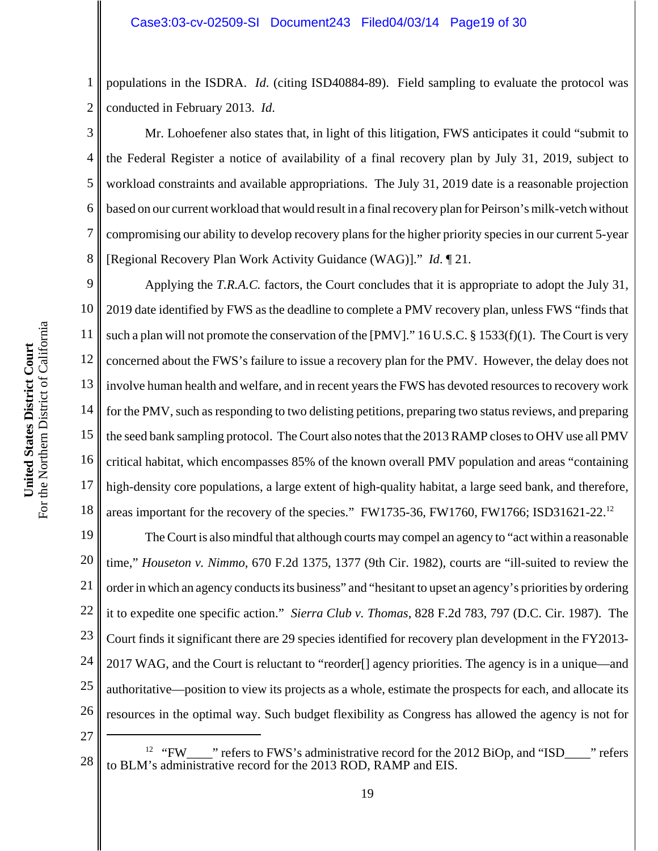1 2 populations in the ISDRA. *Id*. (citing ISD40884-89). Field sampling to evaluate the protocol was conducted in February 2013. *Id*.

3 4 5 6 7 8 Mr. Lohoefener also states that, in light of this litigation, FWS anticipates it could "submit to the Federal Register a notice of availability of a final recovery plan by July 31, 2019, subject to workload constraints and available appropriations. The July 31, 2019 date is a reasonable projection based on our current workload that would result in a final recovery plan for Peirson's milk-vetch without compromising our ability to develop recovery plans for the higher priority species in our current 5-year [Regional Recovery Plan Work Activity Guidance (WAG)]." *Id*. ¶ 21.

9 10 11 12 13 14 15 16 17 18 Applying the *T.R.A.C.* factors, the Court concludes that it is appropriate to adopt the July 31, 2019 date identified by FWS as the deadline to complete a PMV recovery plan, unless FWS "finds that such a plan will not promote the conservation of the [PMV]." 16 U.S.C. § 1533(f)(1). The Court is very concerned about the FWS's failure to issue a recovery plan for the PMV. However, the delay does not involve human health and welfare, and in recent years the FWS has devoted resources to recovery work for the PMV, such as responding to two delisting petitions, preparing two status reviews, and preparing the seed bank sampling protocol. The Court also notes that the 2013 RAMP closes to OHV use all PMV critical habitat, which encompasses 85% of the known overall PMV population and areas "containing high-density core populations, a large extent of high-quality habitat, a large seed bank, and therefore, areas important for the recovery of the species." FW1735-36, FW1760, FW1766; ISD31621-22.<sup>12</sup>

19 20 21 22 23 24 25 26 The Court is also mindful that although courts may compel an agency to "act within a reasonable time," *Houseton v. Nimmo*, 670 F.2d 1375, 1377 (9th Cir. 1982), courts are "ill-suited to review the order in which an agency conducts its business" and "hesitant to upset an agency's priorities by ordering it to expedite one specific action." *Sierra Club v. Thomas*, 828 F.2d 783, 797 (D.C. Cir. 1987). The Court finds it significant there are 29 species identified for recovery plan development in the FY2013- 2017 WAG, and the Court is reluctant to "reorder[] agency priorities. The agency is in a unique—and authoritative—position to view its projects as a whole, estimate the prospects for each, and allocate its resources in the optimal way. Such budget flexibility as Congress has allowed the agency is not for

<sup>28</sup> " refers to FWS's administrative record for the  $2012$  BiOp, and "ISD  $\ldots$ " refers to BLM's administrative record for the 2013 ROD, RAMP and EIS.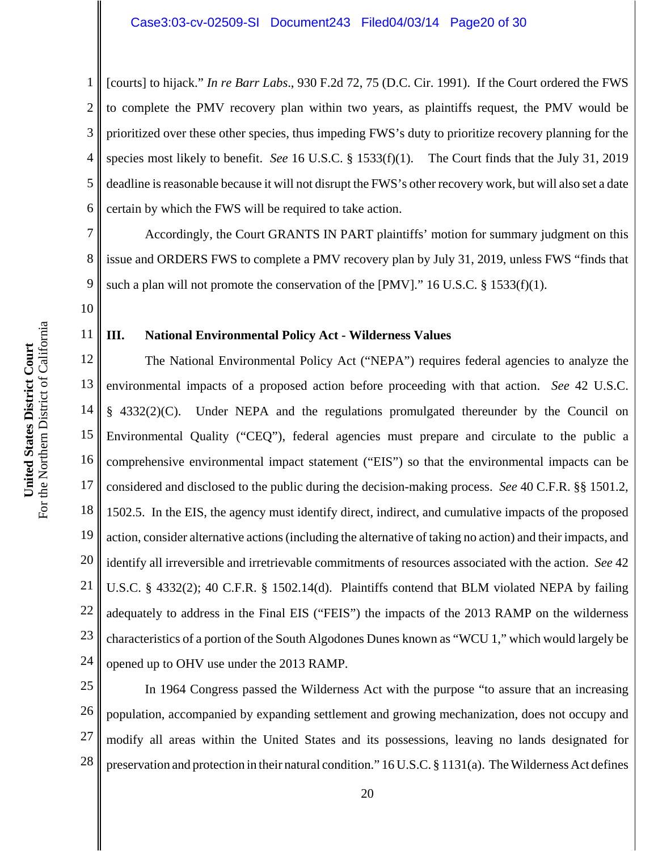1 2 3 4 5 6 [courts] to hijack." *In re Barr Labs*., 930 F.2d 72, 75 (D.C. Cir. 1991). If the Court ordered the FWS to complete the PMV recovery plan within two years, as plaintiffs request, the PMV would be prioritized over these other species, thus impeding FWS's duty to prioritize recovery planning for the species most likely to benefit. *See* 16 U.S.C. § 1533(f)(1). The Court finds that the July 31, 2019 deadline is reasonable because it will not disrupt the FWS's other recovery work, but will also set a date certain by which the FWS will be required to take action.

Accordingly, the Court GRANTS IN PART plaintiffs' motion for summary judgment on this issue and ORDERS FWS to complete a PMV recovery plan by July 31, 2019, unless FWS "finds that such a plan will not promote the conservation of the [PMV]." 16 U.S.C. § 1533(f)(1).

10

11

9

7

8

### **III. National Environmental Policy Act - Wilderness Values**

12 13 14 15 16 17 18 19 20 21 22 23 24 The National Environmental Policy Act ("NEPA") requires federal agencies to analyze the environmental impacts of a proposed action before proceeding with that action. *See* 42 U.S.C. § 4332(2)(C). Under NEPA and the regulations promulgated thereunder by the Council on Environmental Quality ("CEQ"), federal agencies must prepare and circulate to the public a comprehensive environmental impact statement ("EIS") so that the environmental impacts can be considered and disclosed to the public during the decision-making process. *See* 40 C.F.R. §§ 1501.2, 1502.5. In the EIS, the agency must identify direct, indirect, and cumulative impacts of the proposed action, consider alternative actions (including the alternative of taking no action) and their impacts, and identify all irreversible and irretrievable commitments of resources associated with the action. *See* 42 U.S.C. § 4332(2); 40 C.F.R. § 1502.14(d). Plaintiffs contend that BLM violated NEPA by failing adequately to address in the Final EIS ("FEIS") the impacts of the 2013 RAMP on the wilderness characteristics of a portion of the South Algodones Dunes known as "WCU 1," which would largely be opened up to OHV use under the 2013 RAMP.

25 26 27 28 In 1964 Congress passed the Wilderness Act with the purpose "to assure that an increasing population, accompanied by expanding settlement and growing mechanization, does not occupy and modify all areas within the United States and its possessions, leaving no lands designated for preservation and protection in their natural condition." 16 U.S.C. § 1131(a). The Wilderness Act defines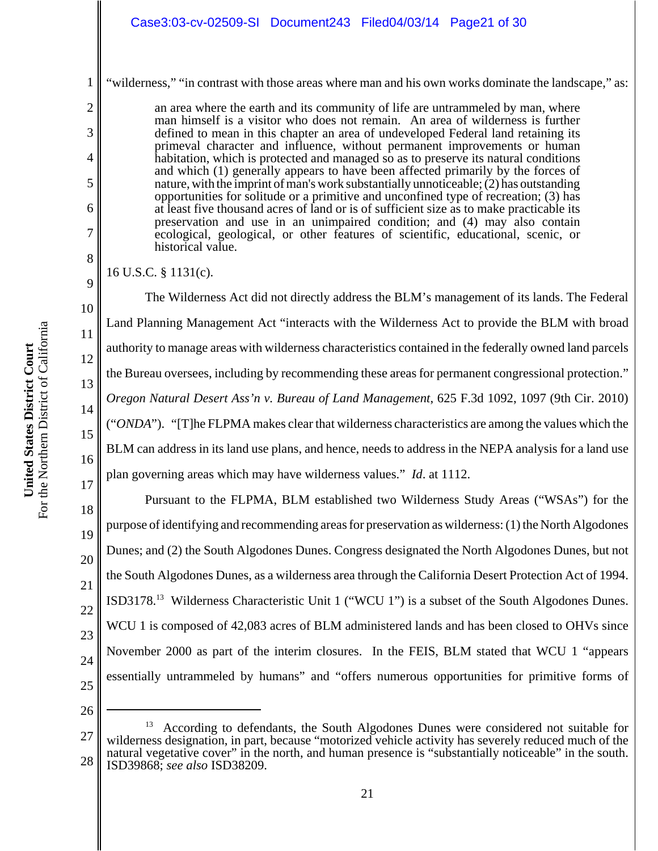## Case3:03-cv-02509-SI Document243 Filed04/03/14 Page21 of 30

"wilderness," "in contrast with those areas where man and his own works dominate the landscape," as:

an area where the earth and its community of life are untrammeled by man, where man himself is a visitor who does not remain. An area of wilderness is further defined to mean in this chapter an area of undeveloped Federal land retaining its primeval character and influence, without permanent improvements or human habitation, which is protected and managed so as to preserve its natural conditions and which (1) generally appears to have been affected primarily by the forces of nature, with the imprint of man's work substantially unnoticeable; (2) has outstanding opportunities for solitude or a primitive and unconfined type of recreation; (3) has at least five thousand acres of land or is of sufficient size as to make practicable its preservation and use in an unimpaired condition; and (4) may also contain ecological, geological, or other features of scientific, educational, scenic, or historical value.

16 U.S.C. § 1131(c).

1

2

3

4

5

6

7

8

9

10

11

12

13

14

15

16

17

The Wilderness Act did not directly address the BLM's management of its lands. The Federal Land Planning Management Act "interacts with the Wilderness Act to provide the BLM with broad authority to manage areas with wilderness characteristics contained in the federally owned land parcels the Bureau oversees, including by recommending these areas for permanent congressional protection." *Oregon Natural Desert Ass'n v. Bureau of Land Management*, 625 F.3d 1092, 1097 (9th Cir. 2010) ("*ONDA*"). "[T]he FLPMA makes clear that wilderness characteristics are among the values which the BLM can address in its land use plans, and hence, needs to address in the NEPA analysis for a land use plan governing areas which may have wilderness values." *Id*. at 1112.

18 19 20 21 22 23 24 25 Pursuant to the FLPMA, BLM established two Wilderness Study Areas ("WSAs") for the purpose of identifying and recommending areas for preservation as wilderness: (1) the North Algodones Dunes; and (2) the South Algodones Dunes. Congress designated the North Algodones Dunes, but not the South Algodones Dunes, as a wilderness area through the California Desert Protection Act of 1994. ISD3178.13 Wilderness Characteristic Unit 1 ("WCU 1") is a subset of the South Algodones Dunes. WCU 1 is composed of 42,083 acres of BLM administered lands and has been closed to OHVs since November 2000 as part of the interim closures. In the FEIS, BLM stated that WCU 1 "appears essentially untrammeled by humans" and "offers numerous opportunities for primitive forms of

<sup>27</sup> 28 <sup>13</sup> According to defendants, the South Algodones Dunes were considered not suitable for wilderness designation, in part, because "motorized vehicle activity has severely reduced much of the natural vegetative cover" in the north, and human presence is "substantially noticeable" in the south. ISD39868; *see also* ISD38209.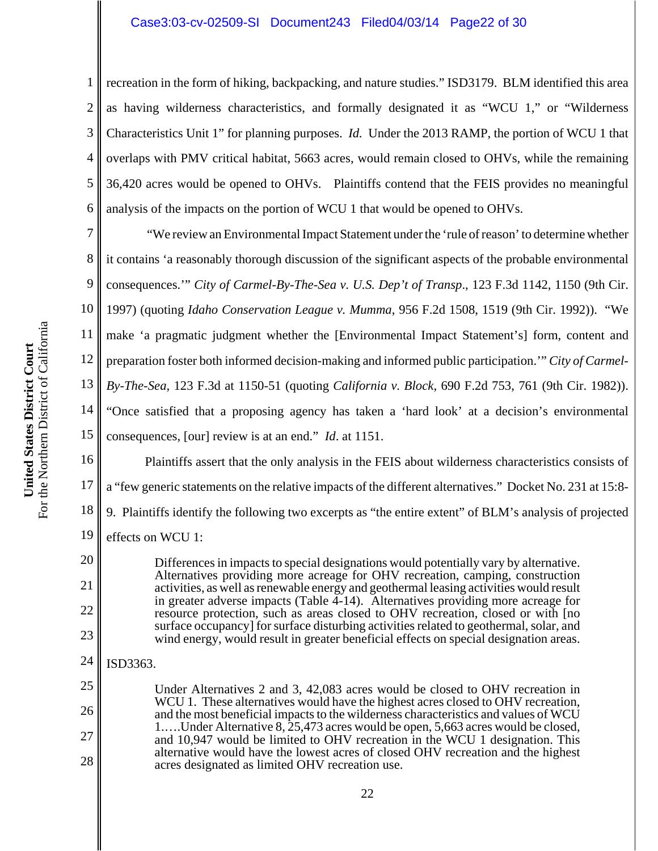## Case3:03-cv-02509-SI Document243 Filed04/03/14 Page22 of 30

2 4 6 recreation in the form of hiking, backpacking, and nature studies." ISD3179. BLM identified this area as having wilderness characteristics, and formally designated it as "WCU 1," or "Wilderness Characteristics Unit 1" for planning purposes. *Id.* Under the 2013 RAMP, the portion of WCU 1 that overlaps with PMV critical habitat, 5663 acres, would remain closed to OHVs, while the remaining 36,420 acres would be opened to OHVs. Plaintiffs contend that the FEIS provides no meaningful analysis of the impacts on the portion of WCU 1 that would be opened to OHVs.

7 8 9 10 11 12 13 14 15 "We review an Environmental Impact Statement under the 'rule of reason' to determine whether it contains 'a reasonably thorough discussion of the significant aspects of the probable environmental consequences.'" *City of Carmel-By-The-Sea v. U.S. Dep't of Transp*., 123 F.3d 1142, 1150 (9th Cir. 1997) (quoting *Idaho Conservation League v. Mumma*, 956 F.2d 1508, 1519 (9th Cir. 1992)). "We make 'a pragmatic judgment whether the [Environmental Impact Statement's] form, content and preparation foster both informed decision-making and informed public participation.'" *City of Carmel-By-The-Sea*, 123 F.3d at 1150-51 (quoting *California v. Block*, 690 F.2d 753, 761 (9th Cir. 1982)). "Once satisfied that a proposing agency has taken a 'hard look' at a decision's environmental consequences, [our] review is at an end." *Id*. at 1151.

16 17 18 Plaintiffs assert that the only analysis in the FEIS about wilderness characteristics consists of a "few generic statements on the relative impacts of the different alternatives." Docket No. 231 at 15:8- 9. Plaintiffs identify the following two excerpts as "the entire extent" of BLM's analysis of projected

19 effects on WCU 1:

> Differences in impacts to special designations would potentially vary by alternative. Alternatives providing more acreage for OHV recreation, camping, construction activities, as well as renewable energy and geothermal leasing activities would result in greater adverse impacts (Table 4-14). Alternatives providing more acreage for resource protection, such as areas closed to OHV recreation, closed or with [no surface occupancy] for surface disturbing activities related to geothermal, solar, and wind energy, would result in greater beneficial effects on special designation areas.

24 ISD3363.

20

21

22

23

25 26 27 28 Under Alternatives 2 and 3, 42,083 acres would be closed to OHV recreation in WCU 1. These alternatives would have the highest acres closed to OHV recreation, and the most beneficial impacts to the wilderness characteristics and values of WCU 1.….Under Alternative 8, 25,473 acres would be open, 5,663 acres would be closed, and 10,947 would be limited to OHV recreation in the WCU 1 designation. This alternative would have the lowest acres of closed OHV recreation and the highest acres designated as limited OHV recreation use.

1

3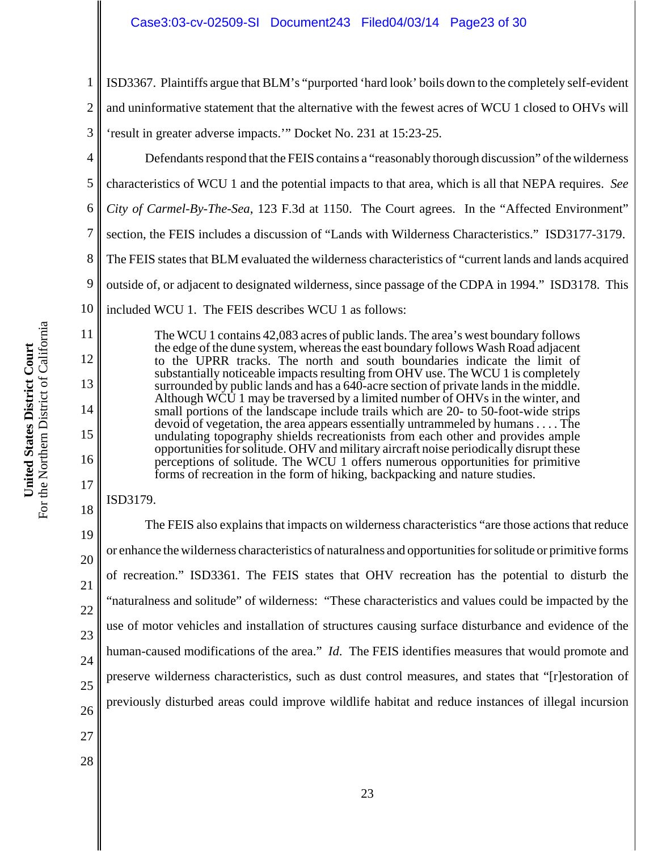ISD3367. Plaintiffs argue that BLM's "purported 'hard look' boils down to the completely self-evident and uninformative statement that the alternative with the fewest acres of WCU 1 closed to OHVs will 'result in greater adverse impacts.'" Docket No. 231 at 15:23-25.

4 5 6 7 8 9 10 Defendants respond that the FEIS contains a "reasonably thorough discussion" of the wilderness characteristics of WCU 1 and the potential impacts to that area, which is all that NEPA requires. *See City of Carmel-By-The-Sea*, 123 F.3d at 1150. The Court agrees. In the "Affected Environment" section, the FEIS includes a discussion of "Lands with Wilderness Characteristics." ISD3177-3179. The FEIS states that BLM evaluated the wilderness characteristics of "current lands and lands acquired outside of, or adjacent to designated wilderness, since passage of the CDPA in 1994." ISD3178. This included WCU 1. The FEIS describes WCU 1 as follows:

The WCU 1 contains 42,083 acres of public lands. The area's west boundary follows the edge of the dune system, whereas the east boundary follows Wash Road adjacent to the UPRR tracks. The north and south boundaries indicate the limit of substantially noticeable impacts resulting from OHV use. The WCU 1 is completely surrounded by public lands and has a 640-acre section of private lands in the middle. Although WCU 1 may be traversed by a limited number of OHVs in the winter, and small portions of the landscape include trails which are 20- to 50-foot-wide strips devoid of vegetation, the area appears essentially untrammeled by humans . . . . The undulating topography shields recreationists from each other and provides ample opportunities for solitude. OHV and military aircraft noise periodically disrupt these perceptions of solitude. The WCU 1 offers numerous opportunities for primitive forms of recreation in the form of hiking, backpacking and nature studies.

ISD3179.

19 20 21 22 23 24 25 26 The FEIS also explains that impacts on wilderness characteristics "are those actions that reduce or enhance the wilderness characteristics of naturalness and opportunities for solitude or primitive forms of recreation." ISD3361. The FEIS states that OHV recreation has the potential to disturb the "naturalness and solitude" of wilderness: "These characteristics and values could be impacted by the use of motor vehicles and installation of structures causing surface disturbance and evidence of the human-caused modifications of the area." *Id*. The FEIS identifies measures that would promote and preserve wilderness characteristics, such as dust control measures, and states that "[r]estoration of previously disturbed areas could improve wildlife habitat and reduce instances of illegal incursion

1

2

3

11

12

13

14

15

16

17

18

27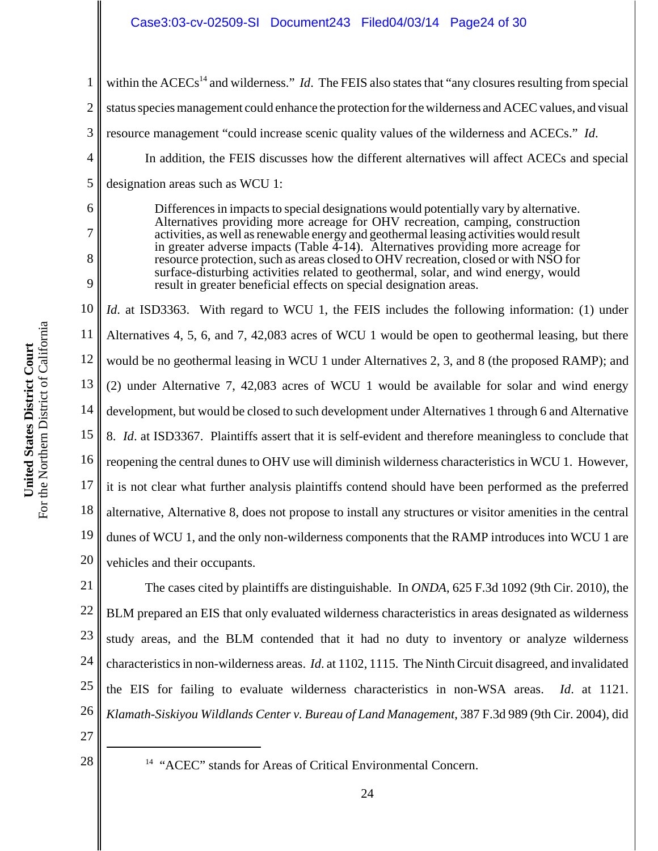# Case3:03-cv-02509-SI Document243 Filed04/03/14 Page24 of 30

1 2 3 4 5 6 7 8 9 10 11 12 13 14 15 16 17 18 19 20 21 within the ACECs<sup>14</sup> and wilderness." *Id*. The FEIS also states that "any closures resulting from special status species management could enhance the protection for the wilderness and ACEC values, and visual resource management "could increase scenic quality values of the wilderness and ACECs." *Id*. In addition, the FEIS discusses how the different alternatives will affect ACECs and special designation areas such as WCU 1: Differences in impacts to special designations would potentially vary by alternative. Alternatives providing more acreage for OHV recreation, camping, construction activities, as well as renewable energy and geothermal leasing activities would result in greater adverse impacts (Table 4-14). Alternatives providing more acreage for resource protection, such as areas closed to OHV recreation, closed or with NSO for surface-disturbing activities related to geothermal, solar, and wind energy, would result in greater beneficial effects on special designation areas. *Id.* at ISD3363. With regard to WCU 1, the FEIS includes the following information: (1) under Alternatives 4, 5, 6, and 7, 42,083 acres of WCU 1 would be open to geothermal leasing, but there would be no geothermal leasing in WCU 1 under Alternatives 2, 3, and 8 (the proposed RAMP); and (2) under Alternative 7, 42,083 acres of WCU 1 would be available for solar and wind energy development, but would be closed to such development under Alternatives 1 through 6 and Alternative 8. *Id*. at ISD3367. Plaintiffs assert that it is self-evident and therefore meaningless to conclude that reopening the central dunes to OHV use will diminish wilderness characteristics in WCU 1. However, it is not clear what further analysis plaintiffs contend should have been performed as the preferred alternative, Alternative 8, does not propose to install any structures or visitor amenities in the central dunes of WCU 1, and the only non-wilderness components that the RAMP introduces into WCU 1 are vehicles and their occupants.

22 23 24 25 26 The cases cited by plaintiffs are distinguishable. In *ONDA*, 625 F.3d 1092 (9th Cir. 2010), the BLM prepared an EIS that only evaluated wilderness characteristics in areas designated as wilderness study areas, and the BLM contended that it had no duty to inventory or analyze wilderness characteristics in non-wilderness areas. *Id*. at 1102, 1115. The Ninth Circuit disagreed, and invalidated the EIS for failing to evaluate wilderness characteristics in non-WSA areas. *Id*. at 1121. *Klamath-Siskiyou Wildlands Center v. Bureau of Land Management*, 387 F.3d 989 (9th Cir. 2004), did

- 27
- 28  $\parallel$  <sup>14</sup> "ACEC" stands for Areas of Critical Environmental Concern.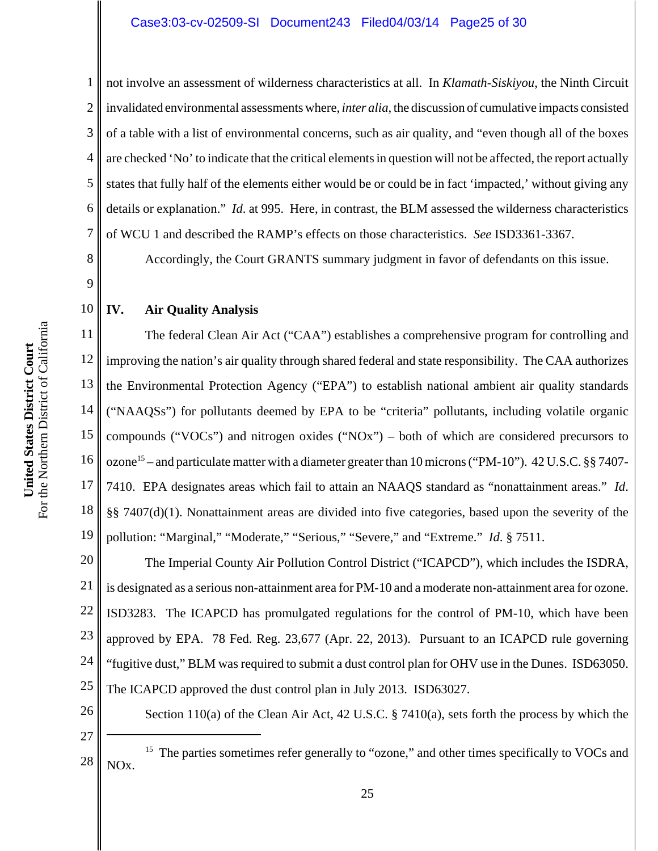### Case3:03-cv-02509-SI Document243 Filed04/03/14 Page25 of 30

1 2 3 4 5 6 7 not involve an assessment of wilderness characteristics at all. In *Klamath-Siskiyou*, the Ninth Circuit invalidated environmental assessments where, *inter alia*, the discussion of cumulative impacts consisted of a table with a list of environmental concerns, such as air quality, and "even though all of the boxes are checked 'No' to indicate that the critical elements in question will not be affected, the report actually states that fully half of the elements either would be or could be in fact 'impacted,' without giving any details or explanation." *Id*. at 995. Here, in contrast, the BLM assessed the wilderness characteristics of WCU 1 and described the RAMP's effects on those characteristics. *See* ISD3361-3367.

Accordingly, the Court GRANTS summary judgment in favor of defendants on this issue.

9

10

8

## **IV. Air Quality Analysis**

11 12 13 14 15 16 17 18 19 The federal Clean Air Act ("CAA") establishes a comprehensive program for controlling and improving the nation's air quality through shared federal and state responsibility. The CAA authorizes the Environmental Protection Agency ("EPA") to establish national ambient air quality standards ("NAAQSs") for pollutants deemed by EPA to be "criteria" pollutants, including volatile organic compounds ("VOCs") and nitrogen oxides ("NOx") – both of which are considered precursors to ozone15 – and particulate matter with a diameter greater than 10 microns ("PM-10"). 42 U.S.C. §§ 7407- 7410. EPA designates areas which fail to attain an NAAQS standard as "nonattainment areas." *Id*. §§ 7407(d)(1). Nonattainment areas are divided into five categories, based upon the severity of the pollution: "Marginal," "Moderate," "Serious," "Severe," and "Extreme." *Id*. § 7511.

20 21 22 23 24 25 The Imperial County Air Pollution Control District ("ICAPCD"), which includes the ISDRA, is designated as a serious non-attainment area for PM-10 and a moderate non-attainment area for ozone. ISD3283. The ICAPCD has promulgated regulations for the control of PM-10, which have been approved by EPA. 78 Fed. Reg. 23,677 (Apr. 22, 2013). Pursuant to an ICAPCD rule governing "fugitive dust," BLM was required to submit a dust control plan for OHV use in the Dunes. ISD63050. The ICAPCD approved the dust control plan in July 2013. ISD63027.

26 27

Section 110(a) of the Clean Air Act, 42 U.S.C. § 7410(a), sets forth the process by which the

<sup>28</sup> <sup>15</sup> The parties sometimes refer generally to "ozone," and other times specifically to VOCs and NOx.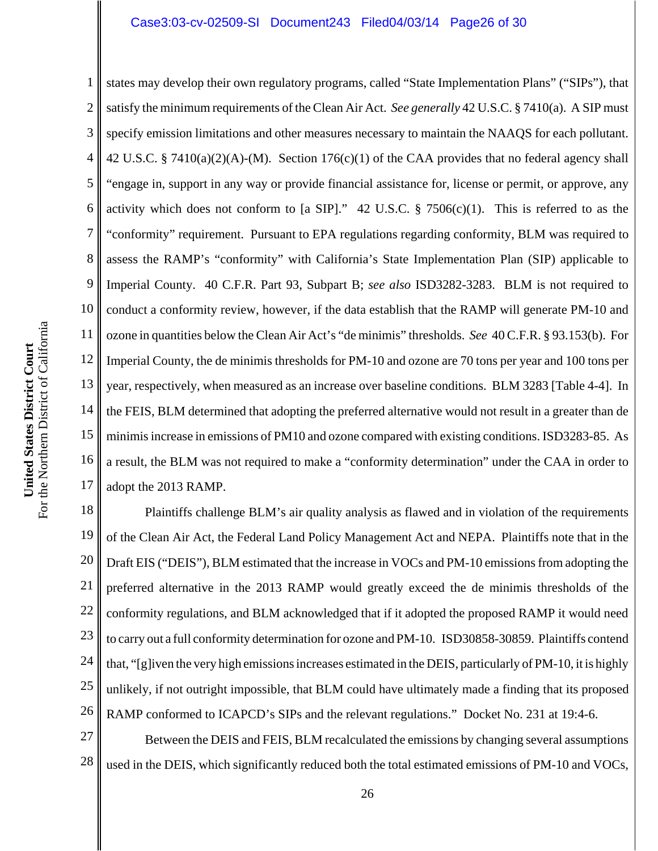### Case3:03-cv-02509-SI Document243 Filed04/03/14 Page26 of 30

1 2 3 4 5 6 7 8 9 10 11 12 13 14 15 16 17 states may develop their own regulatory programs, called "State Implementation Plans" ("SIPs"), that satisfy the minimum requirements of the Clean Air Act. *See generally* 42 U.S.C. § 7410(a). A SIP must specify emission limitations and other measures necessary to maintain the NAAQS for each pollutant. 42 U.S.C. § 7410(a)(2)(A)-(M). Section 176(c)(1) of the CAA provides that no federal agency shall "engage in, support in any way or provide financial assistance for, license or permit, or approve, any activity which does not conform to [a SIP]." 42 U.S.C.  $\S$  7506(c)(1). This is referred to as the "conformity" requirement. Pursuant to EPA regulations regarding conformity, BLM was required to assess the RAMP's "conformity" with California's State Implementation Plan (SIP) applicable to Imperial County. 40 C.F.R. Part 93, Subpart B; *see also* ISD3282-3283. BLM is not required to conduct a conformity review, however, if the data establish that the RAMP will generate PM-10 and ozone in quantities below the Clean Air Act's "de minimis" thresholds. *See* 40 C.F.R. § 93.153(b). For Imperial County, the de minimis thresholds for PM-10 and ozone are 70 tons per year and 100 tons per year, respectively, when measured as an increase over baseline conditions. BLM 3283 [Table 4-4]. In the FEIS, BLM determined that adopting the preferred alternative would not result in a greater than de minimis increase in emissions of PM10 and ozone compared with existing conditions. ISD3283-85. As a result, the BLM was not required to make a "conformity determination" under the CAA in order to adopt the 2013 RAMP.

18 19 20 21 22 23 24 25 26 Plaintiffs challenge BLM's air quality analysis as flawed and in violation of the requirements of the Clean Air Act, the Federal Land Policy Management Act and NEPA. Plaintiffs note that in the Draft EIS ("DEIS"), BLM estimated that the increase in VOCs and PM-10 emissions from adopting the preferred alternative in the 2013 RAMP would greatly exceed the de minimis thresholds of the conformity regulations, and BLM acknowledged that if it adopted the proposed RAMP it would need to carry out a full conformity determination for ozone and PM-10. ISD30858-30859. Plaintiffs contend that, "[g]iven the very high emissions increases estimated in the DEIS, particularly of PM-10, it is highly unlikely, if not outright impossible, that BLM could have ultimately made a finding that its proposed RAMP conformed to ICAPCD's SIPs and the relevant regulations." Docket No. 231 at 19:4-6.

27 28 Between the DEIS and FEIS, BLM recalculated the emissions by changing several assumptions used in the DEIS, which significantly reduced both the total estimated emissions of PM-10 and VOCs,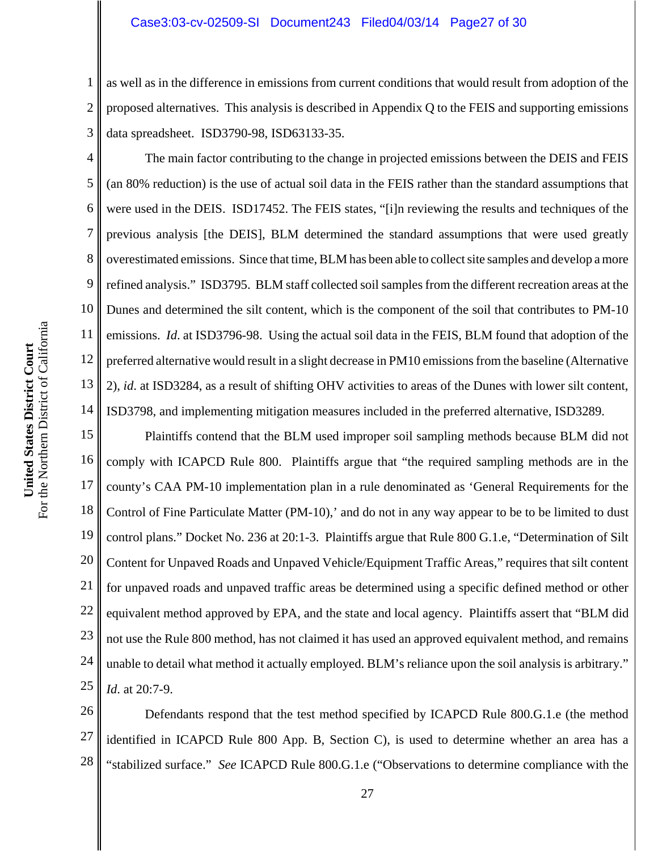### Case3:03-cv-02509-SI Document243 Filed04/03/14 Page27 of 30

1 2 3 as well as in the difference in emissions from current conditions that would result from adoption of the proposed alternatives. This analysis is described in Appendix Q to the FEIS and supporting emissions data spreadsheet. ISD3790-98, ISD63133-35.

10 The main factor contributing to the change in projected emissions between the DEIS and FEIS (an 80% reduction) is the use of actual soil data in the FEIS rather than the standard assumptions that were used in the DEIS. ISD17452. The FEIS states, "[i]n reviewing the results and techniques of the previous analysis [the DEIS], BLM determined the standard assumptions that were used greatly overestimated emissions. Since that time, BLM has been able to collect site samples and develop a more refined analysis." ISD3795. BLM staff collected soil samples from the different recreation areas at the Dunes and determined the silt content, which is the component of the soil that contributes to PM-10 emissions. *Id*. at ISD3796-98. Using the actual soil data in the FEIS, BLM found that adoption of the preferred alternative would result in a slight decrease in PM10 emissions from the baseline (Alternative 2), *id*. at ISD3284, as a result of shifting OHV activities to areas of the Dunes with lower silt content, ISD3798, and implementing mitigation measures included in the preferred alternative, ISD3289.

15 16 17 18 19 20 21 22 23 24 25 Plaintiffs contend that the BLM used improper soil sampling methods because BLM did not comply with ICAPCD Rule 800. Plaintiffs argue that "the required sampling methods are in the county's CAA PM-10 implementation plan in a rule denominated as 'General Requirements for the Control of Fine Particulate Matter (PM-10),' and do not in any way appear to be to be limited to dust control plans." Docket No. 236 at 20:1-3. Plaintiffs argue that Rule 800 G.1.e, "Determination of Silt Content for Unpaved Roads and Unpaved Vehicle/Equipment Traffic Areas," requires that silt content for unpaved roads and unpaved traffic areas be determined using a specific defined method or other equivalent method approved by EPA, and the state and local agency. Plaintiffs assert that "BLM did not use the Rule 800 method, has not claimed it has used an approved equivalent method, and remains unable to detail what method it actually employed. BLM's reliance upon the soil analysis is arbitrary." *Id*. at 20:7-9.

26 27 28 Defendants respond that the test method specified by ICAPCD Rule 800.G.1.e (the method identified in ICAPCD Rule 800 App. B, Section C), is used to determine whether an area has a "stabilized surface." *See* ICAPCD Rule 800.G.1.e ("Observations to determine compliance with the

4

5

6

7

8

9

11

12

13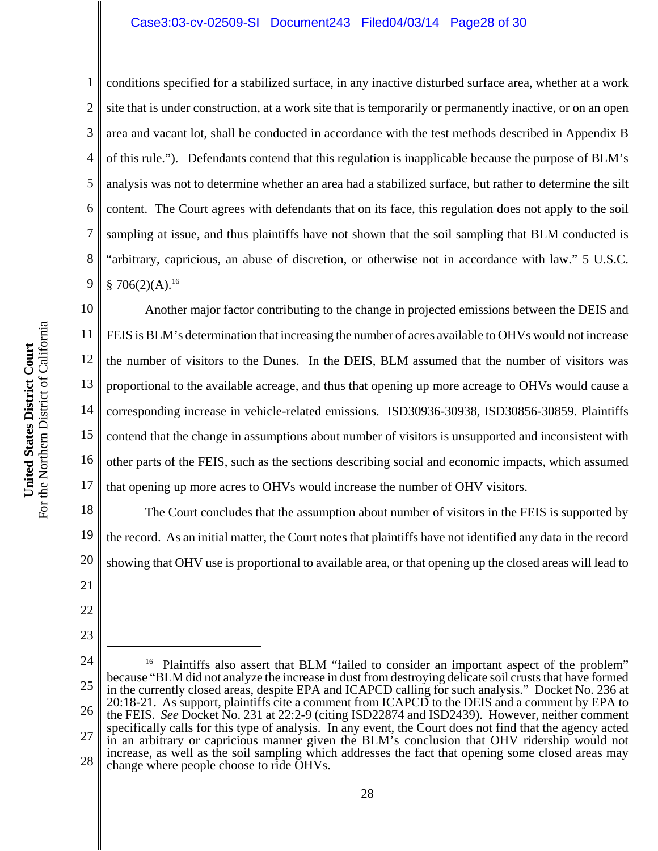### Case3:03-cv-02509-SI Document243 Filed04/03/14 Page28 of 30

1 2 3 4 5 6 7 8 9 10 conditions specified for a stabilized surface, in any inactive disturbed surface area, whether at a work site that is under construction, at a work site that is temporarily or permanently inactive, or on an open area and vacant lot, shall be conducted in accordance with the test methods described in Appendix B of this rule."). Defendants contend that this regulation is inapplicable because the purpose of BLM's analysis was not to determine whether an area had a stabilized surface, but rather to determine the silt content. The Court agrees with defendants that on its face, this regulation does not apply to the soil sampling at issue, and thus plaintiffs have not shown that the soil sampling that BLM conducted is "arbitrary, capricious, an abuse of discretion, or otherwise not in accordance with law." 5 U.S.C.  $$706(2)(A).$ <sup>16</sup> Another major factor contributing to the change in projected emissions between the DEIS and

11 12 13 14 15 16 17 FEIS is BLM's determination that increasing the number of acres available to OHVs would not increase the number of visitors to the Dunes. In the DEIS, BLM assumed that the number of visitors was proportional to the available acreage, and thus that opening up more acreage to OHVs would cause a corresponding increase in vehicle-related emissions. ISD30936-30938, ISD30856-30859. Plaintiffs contend that the change in assumptions about number of visitors is unsupported and inconsistent with other parts of the FEIS, such as the sections describing social and economic impacts, which assumed that opening up more acres to OHVs would increase the number of OHV visitors.

18 19 20 21 The Court concludes that the assumption about number of visitors in the FEIS is supported by the record. As an initial matter, the Court notes that plaintiffs have not identified any data in the record showing that OHV use is proportional to available area, or that opening up the closed areas will lead to

- 22
- 23
- 24

<sup>25</sup> 26 27 28 <sup>16</sup> Plaintiffs also assert that BLM "failed to consider an important aspect of the problem" because "BLM did not analyze the increase in dust from destroying delicate soil crusts that have formed in the currently closed areas, despite EPA and ICAPCD calling for such analysis." Docket No. 236 at 20:18-21. As support, plaintiffs cite a comment from ICAPCD to the DEIS and a comment by EPA to the FEIS. *See* Docket No. 231 at 22:2-9 (citing ISD22874 and ISD2439). However, neither comment specifically calls for this type of analysis. In any event, the Court does not find that the agency acted in an arbitrary or capricious manner given the BLM's conclusion that OHV ridership would not increase, as well as the soil sampling which addresses the fact that opening some closed areas may change where people choose to ride OHVs.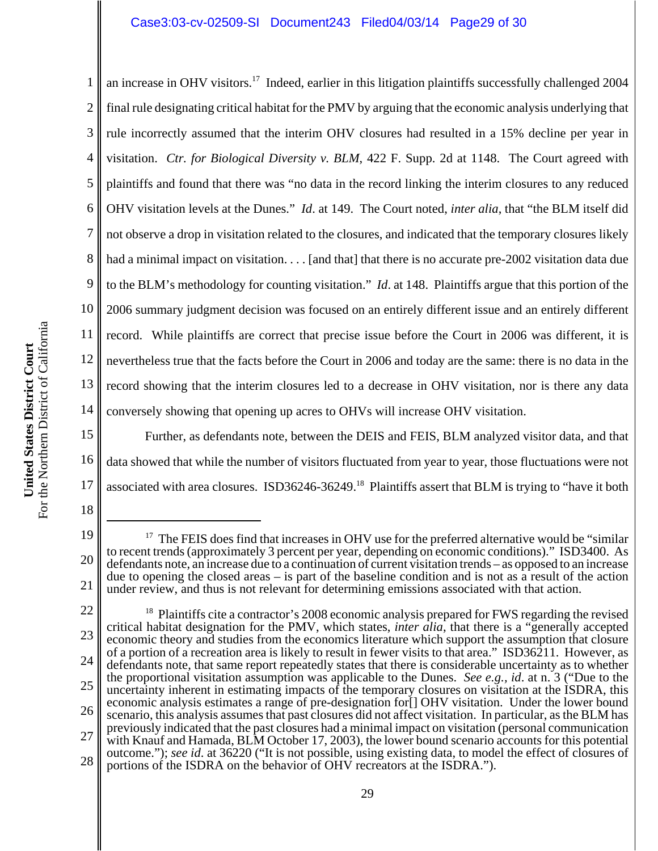1 2 3 4 5 6 7 8 9 10 11 12 13 14 an increase in OHV visitors.<sup>17</sup> Indeed, earlier in this litigation plaintiffs successfully challenged 2004 final rule designating critical habitat for the PMV by arguing that the economic analysis underlying that rule incorrectly assumed that the interim OHV closures had resulted in a 15% decline per year in visitation. *Ctr. for Biological Diversity v. BLM*, 422 F. Supp. 2d at 1148. The Court agreed with plaintiffs and found that there was "no data in the record linking the interim closures to any reduced OHV visitation levels at the Dunes." *Id*. at 149. The Court noted, *inter alia*, that "the BLM itself did not observe a drop in visitation related to the closures, and indicated that the temporary closures likely had a minimal impact on visitation. . . . [and that] that there is no accurate pre-2002 visitation data due to the BLM's methodology for counting visitation." *Id*. at 148. Plaintiffs argue that this portion of the 2006 summary judgment decision was focused on an entirely different issue and an entirely different record. While plaintiffs are correct that precise issue before the Court in 2006 was different, it is nevertheless true that the facts before the Court in 2006 and today are the same: there is no data in the record showing that the interim closures led to a decrease in OHV visitation, nor is there any data conversely showing that opening up acres to OHVs will increase OHV visitation.

15 16 17 Further, as defendants note, between the DEIS and FEIS, BLM analyzed visitor data, and that data showed that while the number of visitors fluctuated from year to year, those fluctuations were not associated with area closures. ISD36246-36249.<sup>18</sup> Plaintiffs assert that BLM is trying to "have it both

21

<sup>19</sup> 20  $17$  The FEIS does find that increases in OHV use for the preferred alternative would be "similar" to recent trends (approximately 3 percent per year, depending on economic conditions)." ISD3400. As defendants note, an increase due to a continuation of current visitation trends – as opposed to an increase due to opening the closed areas – is part of the baseline condition and is not as a result of the action under review, and thus is not relevant for determining emissions associated with that action.

<sup>22</sup> 23 24 25 26 27 28 <sup>18</sup> Plaintiffs cite a contractor's 2008 economic analysis prepared for FWS regarding the revised critical habitat designation for the PMV, which states, *inter alia*, that there is a "generally accepted economic theory and studies from the economics literature which support the assumption that closure of a portion of a recreation area is likely to result in fewer visits to that area." ISD36211. However, as defendants note, that same report repeatedly states that there is considerable uncertainty as to whether the proportional visitation assumption was applicable to the Dunes. *See e.g., id*. at n. 3 ("Due to the uncertainty inherent in estimating impacts of the temporary closures on visitation at the ISDRA, this economic analysis estimates a range of pre-designation for[] OHV visitation. Under the lower bound scenario, this analysis assumes that past closures did not affect visitation. In particular, as the BLM has previously indicated that the past closures had a minimal impact on visitation (personal communication with Knauf and Hamada, BLM October 17, 2003), the lower bound scenario accounts for this potential outcome."); *see id*. at 36220 ("It is not possible, using existing data, to model the effect of closures of portions of the ISDRA on the behavior of OHV recreators at the ISDRA.").